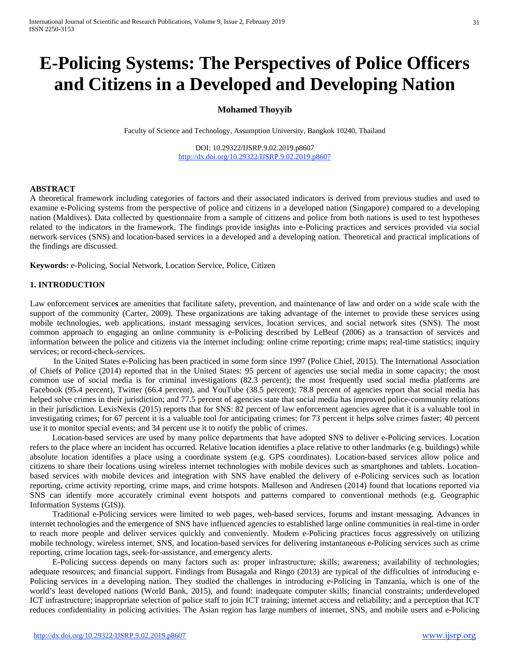# **E-Policing Systems: The Perspectives of Police Officers and Citizens in a Developed and Developing Nation**

# **Mohamed Thoyyib**

Faculty of Science and Technology, Assumption University, Bangkok 10240, Thailand

DOI: 10.29322/IJSRP.9.02.2019.p8607 <http://dx.doi.org/10.29322/IJSRP.9.02.2019.p8607>

#### **ABSTRACT**

A theoretical framework including categories of factors and their associated indicators is derived from previous studies and used to examine e-Policing systems from the perspective of police and citizens in a developed nation (Singapore) compared to a developing nation (Maldives). Data collected by questionnaire from a sample of citizens and police from both nations is used to test hypotheses related to the indicators in the framework. The findings provide insights into e-Policing practices and services provided via social network services (SNS) and location-based services in a developed and a developing nation. Theoretical and practical implications of the findings are discussed.

**Keywords:** e-Policing, Social Network, Location Service, Police, Citizen

#### **1. INTRODUCTION**

Law enforcement service**s** are amenities that facilitate safety, prevention, and maintenance of law and order on a wide scale with the support of the community (Carter, 2009). These organizations are taking advantage of the internet to provide these services using mobile technologies, web applications, instant messaging services, location services, and social network sites (SNS). The most common approach to engaging an online community is e-Policing described by LeBeuf (2006) as a transaction of services and information between the police and citizens via the internet including: online crime reporting; crime maps; real-time statistics; inquiry services; or record-check-services.

In the United States e-Policing has been practiced in some form since 1997 (Police Chief, 2015). The International Association of Chiefs of Police (2014) reported that in the United States: 95 percent of agencies use social media in some capacity; the most common use of social media is for criminal investigations (82.3 percent); the most frequently used social media platforms are Facebook (95.4 percent), Twitter (66.4 percent), and YouTube (38.5 percent); 78.8 percent of agencies report that social media has helped solve crimes in their jurisdiction; and 77.5 percent of agencies state that social media has improved police-community relations in their jurisdiction. LexisNexis (2015) reports that for SNS: 82 percent of law enforcement agencies agree that it is a valuable tool in investigating crimes; for 67 percent it is a valuable tool for anticipating crimes; for 73 percent it helps solve crimes faster; 40 percent use it to monitor special events; and 34 percent use it to notify the public of crimes.

Location-based services are used by many police departments that have adopted SNS to deliver e-Policing services. Location refers to the place where an incident has occurred. Relative location identifies a place relative to other landmarks (e.g. buildings) while absolute location identifies a place using a coordinate system (e.g. GPS coordinates). Location-based services allow police and citizens to share their locations using wireless internet technologies with mobile devices such as smartphones and tablets. Locationbased services with mobile devices and integration with SNS have enabled the delivery of e-Policing services such as location reporting, crime activity reporting, crime maps, and crime hotspots. Malleson and Andresen (2014) found that locations reported via SNS can identify more accurately criminal event hotspots and patterns compared to conventional methods (e.g. Geographic Information Systems (GIS)).

Traditional e-Policing services were limited to web pages, web-based services, forums and instant messaging. Advances in internet technologies and the emergence of SNS have influenced agencies to established large online communities in real-time in order to reach more people and deliver services quickly and conveniently. Modern e-Policing practices focus aggressively on utilizing mobile technology, wireless internet, SNS, and location-based services for delivering instantaneous e-Policing services such as crime reporting, crime location tags, seek-for-assistance, and emergency alerts.

E-Policing success depends on many factors such as: proper infrastructure; skills; awareness; availability of technologies; adequate resources; and financial support. Findings from Busagala and Ringo (2013) are typical of the difficulties of introducing e-Policing services in a developing nation. They studied the challenges in introducing e-Policing in Tanzania, which is one of the world's least developed nations (World Bank, 2015), and found: inadequate computer skills; financial constraints; underdeveloped ICT infrastructure; inappropriate selection of police staff to join ICT training; internet access and reliability; and a perception that ICT reduces confidentiality in policing activities. The Asian region has large numbers of internet, SNS, and mobile users and e-Policing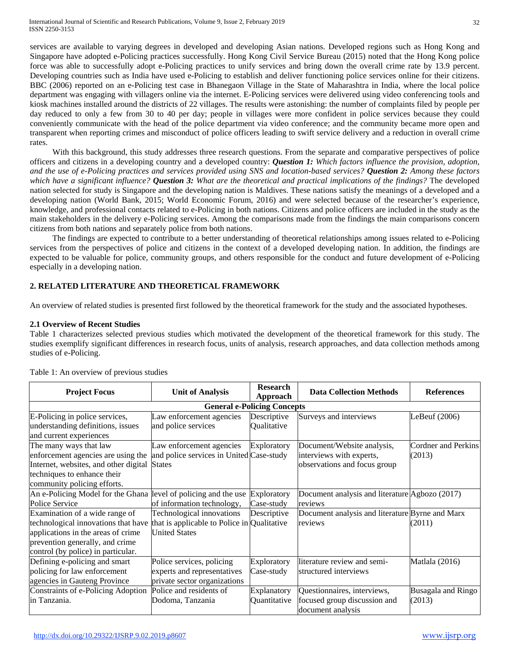services are available to varying degrees in developed and developing Asian nations. Developed regions such as Hong Kong and Singapore have adopted e-Policing practices successfully. Hong Kong Civil Service Bureau (2015) noted that the Hong Kong police force was able to successfully adopt e-Policing practices to unify services and bring down the overall crime rate by 13.9 percent. Developing countries such as India have used e-Policing to establish and deliver functioning police services online for their citizens. BBC (2006) reported on an e-Policing test case in Bhanegaon Village in the State of Maharashtra in India, where the local police department was engaging with villagers online via the internet. E-Policing services were delivered using video conferencing tools and kiosk machines installed around the districts of 22 villages. The results were astonishing: the number of complaints filed by people per day reduced to only a few from 30 to 40 per day; people in villages were more confident in police services because they could conveniently communicate with the head of the police department via video conference; and the community became more open and transparent when reporting crimes and misconduct of police officers leading to swift service delivery and a reduction in overall crime rates.

With this background, this study addresses three research questions. From the separate and comparative perspectives of police officers and citizens in a developing country and a developed country: *Question 1: Which factors influence the provision, adoption, and the use of e-Policing practices and services provided using SNS and location-based services? Question 2: Among these factors which have a significant influence? Question 3: What are the theoretical and practical implications of the findings?* The developed nation selected for study is Singapore and the developing nation is Maldives. These nations satisfy the meanings of a developed and a developing nation (World Bank, 2015; World Economic Forum, 2016) and were selected because of the researcher's experience, knowledge, and professional contacts related to e-Policing in both nations. Citizens and police officers are included in the study as the main stakeholders in the delivery e-Policing services. Among the comparisons made from the findings the main comparisons concern citizens from both nations and separately police from both nations.

The findings are expected to contribute to a better understanding of theoretical relationships among issues related to e-Policing services from the perspectives of police and citizens in the context of a developed developing nation. In addition, the findings are expected to be valuable for police, community groups, and others responsible for the conduct and future development of e-Policing especially in a developing nation.

## **2. RELATED LITERATURE AND THEORETICAL FRAMEWORK**

An overview of related studies is presented first followed by the theoretical framework for the study and the associated hypotheses.

## **2.1 Overview of Recent Studies**

Table 1 characterizes selected previous studies which motivated the development of the theoretical framework for this study. The studies exemplify significant differences in research focus, units of analysis, research approaches, and data collection methods among studies of e-Policing.

| <b>Project Focus</b>                                                                                        | <b>Unit of Analysis</b>                                                                  | <b>Research</b><br>Approach        | <b>Data Collection Methods</b>                                                   | <b>References</b>            |
|-------------------------------------------------------------------------------------------------------------|------------------------------------------------------------------------------------------|------------------------------------|----------------------------------------------------------------------------------|------------------------------|
|                                                                                                             |                                                                                          | <b>General e-Policing Concepts</b> |                                                                                  |                              |
| E-Policing in police services,<br>understanding definitions, issues                                         | Law enforcement agencies<br>and police services                                          | Descriptive<br>Qualitative         | Surveys and interviews                                                           | LeBeuf (2006)                |
| and current experiences<br>The many ways that law                                                           | Law enforcement agencies                                                                 | Exploratory                        | Document/Website analysis,                                                       | Cordner and Perkins          |
| enforcement agencies are using the<br>Internet, websites, and other digital                                 | and police services in United Case-study<br><b>States</b>                                |                                    | interviews with experts,<br>observations and focus group                         | (2013)                       |
| techniques to enhance their<br>community policing efforts.                                                  |                                                                                          |                                    |                                                                                  |                              |
| An e-Policing Model for the Ghana level of policing and the use<br>Police Service                           | of information technology,                                                               | Exploratory<br>Case-study          | Document analysis and literature Agbozo (2017)<br>reviews                        |                              |
| Examination of a wide range of<br>technological innovations that have                                       | Technological innovations<br>that is applicable to Police in Qualitative                 | Descriptive                        | Document analysis and literature Byrne and Marx<br>reviews                       | (2011)                       |
| applications in the areas of crime<br>prevention generally, and crime<br>control (by police) in particular. | <b>United States</b>                                                                     |                                    |                                                                                  |                              |
| Defining e-policing and smart<br>policing for law enforcement<br>agencies in Gauteng Province               | Police services, policing<br>experts and representatives<br>private sector organizations | Exploratory<br>Case-study          | literature review and semi-<br>structured interviews                             | Matlala (2016)               |
| Constraints of e-Policing Adoption<br>in Tanzania.                                                          | Police and residents of<br>Dodoma, Tanzania                                              | Explanatory<br>Quantitative        | Questionnaires, interviews,<br>focused group discussion and<br>document analysis | Busagala and Ringo<br>(2013) |

#### Table 1: An overview of previous studies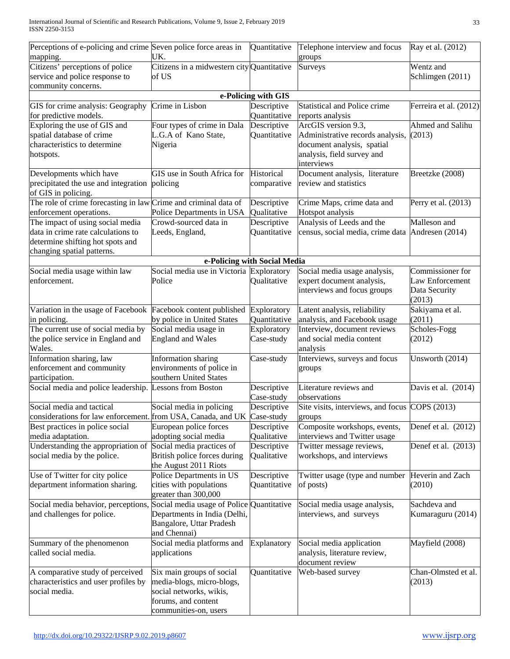| UK.<br>mapping.<br>groups<br>Citizens' perceptions of police<br>Citizens in a midwestern city Quantitative<br>Wentz and<br>Surveys<br>service and police response to<br>Schlimgen (2011)<br>of US                     |                        |
|-----------------------------------------------------------------------------------------------------------------------------------------------------------------------------------------------------------------------|------------------------|
|                                                                                                                                                                                                                       |                        |
|                                                                                                                                                                                                                       |                        |
|                                                                                                                                                                                                                       |                        |
| community concerns.<br>e-Policing with GIS                                                                                                                                                                            |                        |
| Crime in Lisbon<br><b>Statistical and Police crime</b><br>Descriptive<br>GIS for crime analysis: Geography                                                                                                            | Ferreira et al. (2012) |
| for predictive models.<br>Quantitative<br>reports analysis                                                                                                                                                            |                        |
| Exploring the use of GIS and<br>Four types of crime in Dala<br>ArcGIS version 9.3,<br>Descriptive                                                                                                                     | Ahmed and Salihu       |
| spatial database of crime<br>L.G.A of Kano State,<br>Quantitative<br>Administrative records analysis, (2013)                                                                                                          |                        |
| characteristics to determine<br>document analysis, spatial<br>Nigeria                                                                                                                                                 |                        |
| analysis, field survey and<br>hotspots.                                                                                                                                                                               |                        |
| interviews                                                                                                                                                                                                            |                        |
| GIS use in South Africa for<br>Historical<br>Document analysis, literature<br>Developments which have<br>Breetzke (2008)                                                                                              |                        |
| precipitated the use and integration<br>review and statistics<br>policing<br>comparative                                                                                                                              |                        |
| of GIS in policing.                                                                                                                                                                                                   |                        |
| The role of crime forecasting in law Crime and criminal data of<br>Descriptive<br>Crime Maps, crime data and                                                                                                          | Perry et al. (2013)    |
| Police Departments in USA<br>Qualitative<br>Hotspot analysis<br>enforcement operations.<br>Analysis of Leeds and the<br>Malleson and                                                                                  |                        |
| The impact of using social media<br>Crowd-sourced data in<br>Descriptive<br>data in crime rate calculations to                                                                                                        |                        |
| Quantitative<br>census, social media, crime data Andresen (2014)<br>Leeds, England,<br>determine shifting hot spots and                                                                                               |                        |
| changing spatial patterns.                                                                                                                                                                                            |                        |
| e-Policing with Social Media                                                                                                                                                                                          |                        |
| Social media use in Victoria Exploratory<br>Social media usage analysis,<br>Social media usage within law                                                                                                             | Commissioner for       |
| enforcement.<br>Police<br>Qualitative<br>expert document analysis,                                                                                                                                                    | Law Enforcement        |
| interviews and focus groups<br>Data Security                                                                                                                                                                          |                        |
| (2013)                                                                                                                                                                                                                |                        |
| Variation in the usage of Facebook<br>Facebook content published<br>Exploratory<br>Latent analysis, reliability<br>Sakiyama et al.                                                                                    |                        |
| Quantitative<br>analysis, and Facebook usage<br>by police in United States<br>(2011)<br>in policing.                                                                                                                  |                        |
| The current use of social media by<br>Social media usage in<br>Interview, document reviews<br>Scholes-Fogg<br>Exploratory                                                                                             |                        |
| the police service in England and<br><b>England and Wales</b><br>and social media content<br>(2012)<br>Case-study<br>Wales.<br>analysis                                                                               |                        |
| Information sharing, law<br>Interviews, surveys and focus<br>Information sharing<br>Case-study                                                                                                                        | Unsworth (2014)        |
| enforcement and community<br>environments of police in<br>groups                                                                                                                                                      |                        |
| southern United States<br>participation.                                                                                                                                                                              |                        |
| Social media and police leadership. Lessons from Boston<br>Literature reviews and<br>Descriptive<br>Case-study<br>observations                                                                                        | Davis et al. (2014)    |
| Social media and tactical<br>Social media in policing<br>Site visits, interviews, and focus COPS (2013)<br>Descriptive                                                                                                |                        |
| considerations for law enforcement. from USA, Canada, and UK<br>Case-study<br>groups                                                                                                                                  |                        |
| European police forces<br>Composite workshops, events,<br>Best practices in police social<br>Descriptive                                                                                                              | Denef et al. (2012)    |
| adopting social media<br>interviews and Twitter usage<br>media adaptation.<br>Qualitative                                                                                                                             |                        |
| Understanding the appropriation of<br>Social media practices of<br>Descriptive<br>Twitter message reviews,<br>social media by the police.<br>British police forces during<br>workshops, and interviews<br>Qualitative | Denef et al. (2013)    |
| the August 2011 Riots                                                                                                                                                                                                 |                        |
| Use of Twitter for city police<br>Police Departments in US<br>Descriptive<br>Twitter usage (type and number                                                                                                           | Heverin and Zach       |
| cities with populations<br>department information sharing.<br>Quantitative<br>of posts)<br>(2010)                                                                                                                     |                        |
| greater than 300,000                                                                                                                                                                                                  |                        |
| Social media behavior, perceptions, Social media usage of Police Quantitative<br>Social media usage analysis,<br>Sachdeva and                                                                                         |                        |
| and challenges for police.<br>Departments in India (Delhi,<br>interviews, and surveys                                                                                                                                 | Kumaraguru (2014)      |
| Bangalore, Uttar Pradesh                                                                                                                                                                                              |                        |
| and Chennai)                                                                                                                                                                                                          |                        |
| Social media platforms and<br>Explanatory<br>Social media application<br>Mayfield (2008)<br>Summary of the phenomenon                                                                                                 |                        |
| called social media.<br>analysis, literature review,<br>applications<br>document review                                                                                                                               |                        |
| Six main groups of social<br>Quantitative<br>Web-based survey                                                                                                                                                         | Chan-Olmsted et al.    |
| A comparative study of perceived<br>characteristics and user profiles by<br>media-blogs, micro-blogs,<br>(2013)                                                                                                       |                        |
| social media.<br>social networks, wikis,                                                                                                                                                                              |                        |
| forums, and content                                                                                                                                                                                                   |                        |
| communities-on, users                                                                                                                                                                                                 |                        |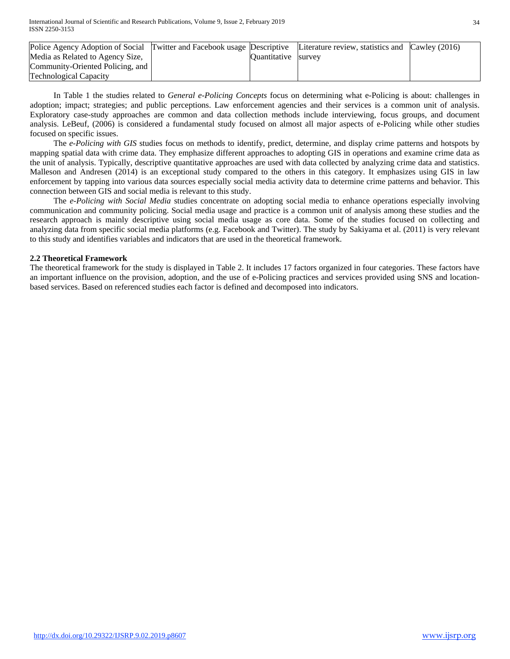| Police Agency Adoption of Social Twitter and Facebook usage Descriptive Literature review, statistics and Cawley (2016) |                     |  |
|-------------------------------------------------------------------------------------------------------------------------|---------------------|--|
| Media as Related to Agency Size,                                                                                        | Quantitative survey |  |
| Community-Oriented Policing, and                                                                                        |                     |  |
| <b>Technological Capacity</b>                                                                                           |                     |  |

In Table 1 the studies related to *General e-Policing Concepts* focus on determining what e-Policing is about: challenges in adoption; impact; strategies; and public perceptions. Law enforcement agencies and their services is a common unit of analysis. Exploratory case-study approaches are common and data collection methods include interviewing, focus groups, and document analysis. LeBeuf, (2006) is considered a fundamental study focused on almost all major aspects of e-Policing while other studies focused on specific issues.

The *e-Policing with GIS* studies focus on methods to identify, predict, determine, and display crime patterns and hotspots by mapping spatial data with crime data. They emphasize different approaches to adopting GIS in operations and examine crime data as the unit of analysis. Typically, descriptive quantitative approaches are used with data collected by analyzing crime data and statistics. Malleson and Andresen (2014) is an exceptional study compared to the others in this category. It emphasizes using GIS in law enforcement by tapping into various data sources especially social media activity data to determine crime patterns and behavior. This connection between GIS and social media is relevant to this study.

The *e-Policing with Social Media* studies concentrate on adopting social media to enhance operations especially involving communication and community policing. Social media usage and practice is a common unit of analysis among these studies and the research approach is mainly descriptive using social media usage as core data. Some of the studies focused on collecting and analyzing data from specific social media platforms (e.g. Facebook and Twitter). The study by Sakiyama et al. (2011) is very relevant to this study and identifies variables and indicators that are used in the theoretical framework.

## **2.2 Theoretical Framework**

The theoretical framework for the study is displayed in Table 2. It includes 17 factors organized in four categories. These factors have an important influence on the provision, adoption, and the use of e-Policing practices and services provided using SNS and locationbased services. Based on referenced studies each factor is defined and decomposed into indicators.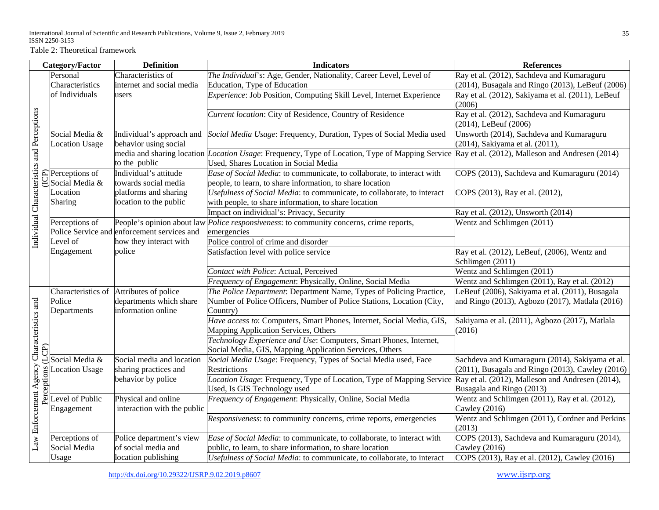Table 2: Theoretical framework

|                                            | Category/Factor                                             | <b>Definition</b>                                  | <b>Indicators</b>                                                                                                                                                                                | <b>References</b>                                                           |
|--------------------------------------------|-------------------------------------------------------------|----------------------------------------------------|--------------------------------------------------------------------------------------------------------------------------------------------------------------------------------------------------|-----------------------------------------------------------------------------|
|                                            | Personal                                                    | Characteristics of                                 | The Individual's: Age, Gender, Nationality, Career Level, Level of                                                                                                                               | Ray et al. (2012), Sachdeva and Kumaraguru                                  |
|                                            | Characteristics                                             | internet and social media                          | Education, Type of Education                                                                                                                                                                     | (2014), Busagala and Ringo (2013), LeBeuf (2006)                            |
|                                            | of Individuals                                              | users                                              | Experience: Job Position, Computing Skill Level, Internet Experience                                                                                                                             | Ray et al. (2012), Sakiyama et al. (2011), LeBeuf<br>(2006)                 |
|                                            |                                                             |                                                    | Current location: City of Residence, Country of Residence                                                                                                                                        | Ray et al. (2012), Sachdeva and Kumaraguru<br>(2014), LeBeuf (2006)         |
| Individual Characteristics and Perceptions | Social Media &<br><b>Location Usage</b>                     | Individual's approach and<br>behavior using social | Social Media Usage: Frequency, Duration, Types of Social Media used                                                                                                                              | Unsworth (2014), Sachdeva and Kumaraguru<br>(2014), Sakiyama et al. (2011), |
|                                            |                                                             | to the public                                      | media and sharing location <i>Location Usage</i> : Frequency, Type of Location, Type of Mapping Service Ray et al. (2012), Malleson and Andresen (2014)<br>Used, Shares Location in Social Media |                                                                             |
|                                            | $\bigoplus_{n=1}^{\infty}$ Perceptions of<br>Social Media & | Individual's attitude<br>towards social media      | Ease of Social Media: to communicate, to collaborate, to interact with<br>people, to learn, to share information, to share location                                                              | COPS (2013), Sachdeva and Kumaraguru (2014)                                 |
|                                            | Location<br><b>Sharing</b>                                  | platforms and sharing<br>location to the public    | Usefulness of Social Media: to communicate, to collaborate, to interact<br>with people, to share information, to share location                                                                  | COPS (2013), Ray et al. (2012),                                             |
|                                            |                                                             |                                                    | Impact on individual's: Privacy, Security                                                                                                                                                        | Ray et al. (2012), Unsworth (2014)                                          |
|                                            | Perceptions of                                              | People's opinion about law                         | Police responsiveness: to community concerns, crime reports,                                                                                                                                     | Wentz and Schlimgen (2011)                                                  |
|                                            |                                                             | Police Service and enforcement services and        | emergencies                                                                                                                                                                                      |                                                                             |
|                                            | Level of                                                    | how they interact with                             | Police control of crime and disorder                                                                                                                                                             |                                                                             |
|                                            | Engagement                                                  | police                                             | Satisfaction level with police service                                                                                                                                                           | Ray et al. (2012), LeBeuf, (2006), Wentz and<br>Schlimgen (2011)            |
|                                            |                                                             |                                                    | Contact with Police: Actual, Perceived                                                                                                                                                           | Wentz and Schlimgen (2011)                                                  |
|                                            |                                                             |                                                    | Frequency of Engagement: Physically, Online, Social Media                                                                                                                                        | Wentz and Schlimgen (2011), Ray et al. (2012)                               |
|                                            | Characteristics of                                          | Attributes of police                               | The Police Department: Department Name, Types of Policing Practice,                                                                                                                              | LeBeuf (2006), Sakiyama et al. (2011), Busagala                             |
|                                            | Police<br>Departments                                       | departments which share<br>information online      | Number of Police Officers, Number of Police Stations, Location (City,<br>Country)                                                                                                                | and Ringo (2013), Agbozo (2017), Matlala (2016)                             |
| Characteristics and                        |                                                             |                                                    | Have access to: Computers, Smart Phones, Internet, Social Media, GIS,<br>Mapping Application Services, Others                                                                                    | Sakiyama et al. (2011), Agbozo (2017), Matlala<br>(2016)                    |
| (LCP)                                      |                                                             |                                                    | Technology Experience and Use: Computers, Smart Phones, Internet,<br>Social Media, GIS, Mapping Application Services, Others                                                                     |                                                                             |
|                                            | Social Media &                                              | Social media and location                          | Social Media Usage: Frequency, Types of Social Media used, Face                                                                                                                                  | Sachdeva and Kumaraguru (2014), Sakiyama et al.                             |
|                                            | <b>Location Usage</b>                                       | sharing practices and                              | Restrictions                                                                                                                                                                                     | $(2011)$ , Busagala and Ringo $(2013)$ , Cawley $(2016)$                    |
| Law Enforcement Agency                     | Perceptions                                                 | behavior by police                                 | Location Usage: Frequency, Type of Location, Type of Mapping Service Ray et al. (2012), Malleson and Andresen (2014),<br>Used, Is GIS Technology used                                            | Busagala and Ringo (2013)                                                   |
|                                            | Level of Public                                             | Physical and online                                | Frequency of Engagement: Physically, Online, Social Media                                                                                                                                        | Wentz and Schlimgen (2011), Ray et al. (2012),                              |
|                                            | Engagement                                                  | interaction with the public                        |                                                                                                                                                                                                  | Cawley (2016)                                                               |
|                                            |                                                             |                                                    | <i>Responsiveness:</i> to community concerns, crime reports, emergencies                                                                                                                         | Wentz and Schlimgen (2011), Cordner and Perkins<br>(2013)                   |
|                                            | Perceptions of                                              | Police department's view                           | Ease of Social Media: to communicate, to collaborate, to interact with                                                                                                                           | COPS (2013), Sachdeva and Kumaraguru (2014),                                |
|                                            | Social Media                                                | of social media and                                | public, to learn, to share information, to share location                                                                                                                                        | Cawley (2016)                                                               |
|                                            | Usage                                                       | location publishing                                | Usefulness of Social Media: to communicate, to collaborate, to interact                                                                                                                          | COPS (2013), Ray et al. (2012), Cawley (2016)                               |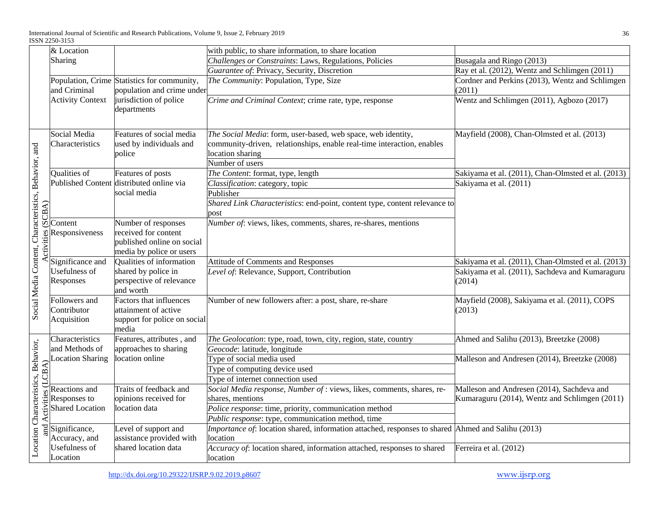| & Location                      |                                                                                                                                                             | with public, to share information, to share location                                                                                                                                                                                                                                                                                          |                                                                                                                                                                                                                                                                                                                                                                                                                                                                                                                                                                                                                                                                                                                                                                                                                                                                                                                                                                                                                                                                                                                                                                                                                                                                               |
|---------------------------------|-------------------------------------------------------------------------------------------------------------------------------------------------------------|-----------------------------------------------------------------------------------------------------------------------------------------------------------------------------------------------------------------------------------------------------------------------------------------------------------------------------------------------|-------------------------------------------------------------------------------------------------------------------------------------------------------------------------------------------------------------------------------------------------------------------------------------------------------------------------------------------------------------------------------------------------------------------------------------------------------------------------------------------------------------------------------------------------------------------------------------------------------------------------------------------------------------------------------------------------------------------------------------------------------------------------------------------------------------------------------------------------------------------------------------------------------------------------------------------------------------------------------------------------------------------------------------------------------------------------------------------------------------------------------------------------------------------------------------------------------------------------------------------------------------------------------|
| Sharing                         |                                                                                                                                                             | Challenges or Constraints: Laws, Regulations, Policies                                                                                                                                                                                                                                                                                        | Busagala and Ringo (2013)                                                                                                                                                                                                                                                                                                                                                                                                                                                                                                                                                                                                                                                                                                                                                                                                                                                                                                                                                                                                                                                                                                                                                                                                                                                     |
|                                 |                                                                                                                                                             |                                                                                                                                                                                                                                                                                                                                               | Ray et al. (2012), Wentz and Schlimgen (2011)                                                                                                                                                                                                                                                                                                                                                                                                                                                                                                                                                                                                                                                                                                                                                                                                                                                                                                                                                                                                                                                                                                                                                                                                                                 |
| and Criminal                    |                                                                                                                                                             | The Community: Population, Type, Size                                                                                                                                                                                                                                                                                                         | Cordner and Perkins (2013), Wentz and Schlimgen<br>(2011)                                                                                                                                                                                                                                                                                                                                                                                                                                                                                                                                                                                                                                                                                                                                                                                                                                                                                                                                                                                                                                                                                                                                                                                                                     |
| <b>Activity Context</b>         |                                                                                                                                                             |                                                                                                                                                                                                                                                                                                                                               | Wentz and Schlimgen (2011), Agbozo (2017)                                                                                                                                                                                                                                                                                                                                                                                                                                                                                                                                                                                                                                                                                                                                                                                                                                                                                                                                                                                                                                                                                                                                                                                                                                     |
| Social Media<br>Characteristics | Features of social media                                                                                                                                    |                                                                                                                                                                                                                                                                                                                                               | Mayfield (2008), Chan-Olmsted et al. (2013)                                                                                                                                                                                                                                                                                                                                                                                                                                                                                                                                                                                                                                                                                                                                                                                                                                                                                                                                                                                                                                                                                                                                                                                                                                   |
| Qualities of                    |                                                                                                                                                             |                                                                                                                                                                                                                                                                                                                                               | Sakiyama et al. (2011), Chan-Olmsted et al. (2013)                                                                                                                                                                                                                                                                                                                                                                                                                                                                                                                                                                                                                                                                                                                                                                                                                                                                                                                                                                                                                                                                                                                                                                                                                            |
|                                 |                                                                                                                                                             |                                                                                                                                                                                                                                                                                                                                               | Sakiyama et al. (2011)                                                                                                                                                                                                                                                                                                                                                                                                                                                                                                                                                                                                                                                                                                                                                                                                                                                                                                                                                                                                                                                                                                                                                                                                                                                        |
|                                 | social media                                                                                                                                                |                                                                                                                                                                                                                                                                                                                                               |                                                                                                                                                                                                                                                                                                                                                                                                                                                                                                                                                                                                                                                                                                                                                                                                                                                                                                                                                                                                                                                                                                                                                                                                                                                                               |
|                                 |                                                                                                                                                             | post                                                                                                                                                                                                                                                                                                                                          |                                                                                                                                                                                                                                                                                                                                                                                                                                                                                                                                                                                                                                                                                                                                                                                                                                                                                                                                                                                                                                                                                                                                                                                                                                                                               |
| Content<br>Responsiveness       | Number of responses<br>received for content<br>published online on social                                                                                   |                                                                                                                                                                                                                                                                                                                                               |                                                                                                                                                                                                                                                                                                                                                                                                                                                                                                                                                                                                                                                                                                                                                                                                                                                                                                                                                                                                                                                                                                                                                                                                                                                                               |
| Significance and                | Qualities of information                                                                                                                                    |                                                                                                                                                                                                                                                                                                                                               | Sakiyama et al. (2011), Chan-Olmsted et al. (2013)                                                                                                                                                                                                                                                                                                                                                                                                                                                                                                                                                                                                                                                                                                                                                                                                                                                                                                                                                                                                                                                                                                                                                                                                                            |
|                                 | shared by police in<br>perspective of relevance<br>and worth                                                                                                |                                                                                                                                                                                                                                                                                                                                               | Sakiyama et al. (2011), Sachdeva and Kumaraguru<br>(2014)                                                                                                                                                                                                                                                                                                                                                                                                                                                                                                                                                                                                                                                                                                                                                                                                                                                                                                                                                                                                                                                                                                                                                                                                                     |
| Contributor<br>Acquisition      | Factors that influences<br>attainment of active<br>support for police on social                                                                             | Number of new followers after: a post, share, re-share                                                                                                                                                                                                                                                                                        | Mayfield (2008), Sakiyama et al. (2011), COPS<br>(2013)                                                                                                                                                                                                                                                                                                                                                                                                                                                                                                                                                                                                                                                                                                                                                                                                                                                                                                                                                                                                                                                                                                                                                                                                                       |
| Characteristics                 | Features, attributes, and                                                                                                                                   |                                                                                                                                                                                                                                                                                                                                               | Ahmed and Salihu (2013), Breetzke (2008)                                                                                                                                                                                                                                                                                                                                                                                                                                                                                                                                                                                                                                                                                                                                                                                                                                                                                                                                                                                                                                                                                                                                                                                                                                      |
|                                 |                                                                                                                                                             |                                                                                                                                                                                                                                                                                                                                               |                                                                                                                                                                                                                                                                                                                                                                                                                                                                                                                                                                                                                                                                                                                                                                                                                                                                                                                                                                                                                                                                                                                                                                                                                                                                               |
|                                 |                                                                                                                                                             |                                                                                                                                                                                                                                                                                                                                               | Malleson and Andresen (2014), Breetzke (2008)                                                                                                                                                                                                                                                                                                                                                                                                                                                                                                                                                                                                                                                                                                                                                                                                                                                                                                                                                                                                                                                                                                                                                                                                                                 |
|                                 |                                                                                                                                                             |                                                                                                                                                                                                                                                                                                                                               |                                                                                                                                                                                                                                                                                                                                                                                                                                                                                                                                                                                                                                                                                                                                                                                                                                                                                                                                                                                                                                                                                                                                                                                                                                                                               |
|                                 |                                                                                                                                                             |                                                                                                                                                                                                                                                                                                                                               |                                                                                                                                                                                                                                                                                                                                                                                                                                                                                                                                                                                                                                                                                                                                                                                                                                                                                                                                                                                                                                                                                                                                                                                                                                                                               |
| Reactions and                   | Traits of feedback and                                                                                                                                      |                                                                                                                                                                                                                                                                                                                                               | Malleson and Andresen (2014), Sachdeva and                                                                                                                                                                                                                                                                                                                                                                                                                                                                                                                                                                                                                                                                                                                                                                                                                                                                                                                                                                                                                                                                                                                                                                                                                                    |
|                                 |                                                                                                                                                             |                                                                                                                                                                                                                                                                                                                                               | Kumaraguru (2014), Wentz and Schlimgen (2011)                                                                                                                                                                                                                                                                                                                                                                                                                                                                                                                                                                                                                                                                                                                                                                                                                                                                                                                                                                                                                                                                                                                                                                                                                                 |
|                                 |                                                                                                                                                             |                                                                                                                                                                                                                                                                                                                                               |                                                                                                                                                                                                                                                                                                                                                                                                                                                                                                                                                                                                                                                                                                                                                                                                                                                                                                                                                                                                                                                                                                                                                                                                                                                                               |
|                                 |                                                                                                                                                             |                                                                                                                                                                                                                                                                                                                                               |                                                                                                                                                                                                                                                                                                                                                                                                                                                                                                                                                                                                                                                                                                                                                                                                                                                                                                                                                                                                                                                                                                                                                                                                                                                                               |
| Significance,<br>Accuracy, and  | assistance provided with                                                                                                                                    |                                                                                                                                                                                                                                                                                                                                               |                                                                                                                                                                                                                                                                                                                                                                                                                                                                                                                                                                                                                                                                                                                                                                                                                                                                                                                                                                                                                                                                                                                                                                                                                                                                               |
| <b>Usefulness</b> of            | shared location data                                                                                                                                        |                                                                                                                                                                                                                                                                                                                                               | Ferreira et al. (2012)                                                                                                                                                                                                                                                                                                                                                                                                                                                                                                                                                                                                                                                                                                                                                                                                                                                                                                                                                                                                                                                                                                                                                                                                                                                        |
| and Activities (LCBA)           | Activities (SCBA)<br>Usefulness of<br>Responses<br>Followers and<br>and Methods of<br>ocation Sharing<br>Responses to<br><b>Shared Location</b><br>Location | Population, Crime Statistics for community,<br>jurisdiction of police<br>departments<br>used by individuals and<br>police<br>Features of posts<br>Published Content distributed online via<br>media by police or users<br>media<br>approaches to sharing<br>location online<br>opinions received for<br>location data<br>Level of support and | Guarantee of: Privacy, Security, Discretion<br>population and crime under<br>Crime and Criminal Context; crime rate, type, response<br>The Social Media: form, user-based, web space, web identity,<br>community-driven, relationships, enable real-time interaction, enables<br>location sharing<br>Number of users<br>The Content: format, type, length<br>Classification: category, topic<br>Publisher<br>Shared Link Characteristics: end-point, content type, content relevance to<br>Number of: views, likes, comments, shares, re-shares, mentions<br>Attitude of Comments and Responses<br>Level of: Relevance, Support, Contribution<br>The Geolocation: type, road, town, city, region, state, country<br>Geocode: latitude, longitude<br>Type of social media used<br>Type of computing device used<br>Type of internet connection used<br>Social Media response, Number of : views, likes, comments, shares, re-<br>shares, mentions<br>Police response: time, priority, communication method<br>Public response: type, communication method, time<br><i>Importance of:</i> location shared, information attached, responses to shared Ahmed and Salihu (2013)<br>location<br>Accuracy of: location shared, information attached, responses to shared<br>location |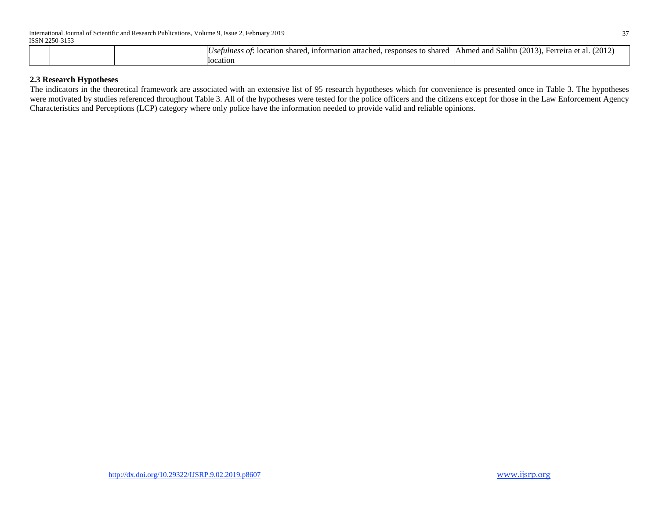|  | responses to shared<br>. information attached. [<br>• location shared.<br>Usetulness of: | $(2013)$ .<br>(2012)<br>lAhmed and Salihu (1<br>. Ferreira et al. <i>'</i> |
|--|------------------------------------------------------------------------------------------|----------------------------------------------------------------------------|
|  | llocation                                                                                |                                                                            |

## **2.3 Research Hypotheses**

The indicators in the theoretical framework are associated with an extensive list of 95 research hypotheses which for convenience is presented once in Table 3. The hypotheses were motivated by studies referenced throughout Table 3. All of the hypotheses were tested for the police officers and the citizens except for those in the Law Enforcement Agency Characteristics and Perceptions (LCP) category where only police have the information needed to provide valid and reliable opinions.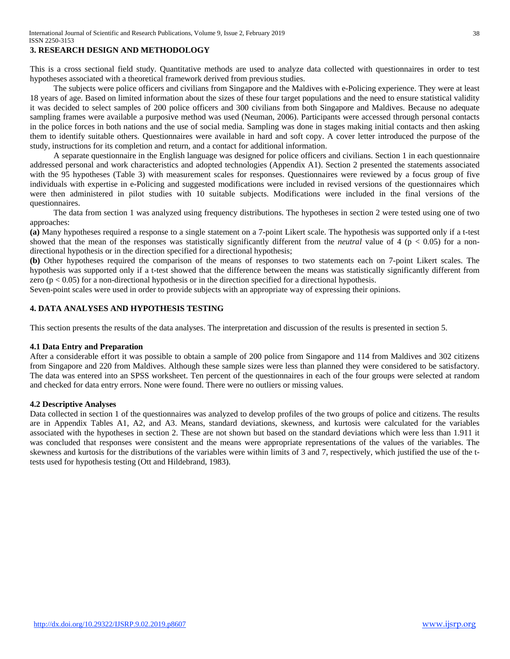# **3. RESEARCH DESIGN AND METHODOLOGY**

This is a cross sectional field study. Quantitative methods are used to analyze data collected with questionnaires in order to test hypotheses associated with a theoretical framework derived from previous studies.

The subjects were police officers and civilians from Singapore and the Maldives with e-Policing experience. They were at least 18 years of age. Based on limited information about the sizes of these four target populations and the need to ensure statistical validity it was decided to select samples of 200 police officers and 300 civilians from both Singapore and Maldives. Because no adequate sampling frames were available a purposive method was used (Neuman, 2006). Participants were accessed through personal contacts in the police forces in both nations and the use of social media. Sampling was done in stages making initial contacts and then asking them to identify suitable others. Questionnaires were available in hard and soft copy. A cover letter introduced the purpose of the study, instructions for its completion and return, and a contact for additional information.

A separate questionnaire in the English language was designed for police officers and civilians. Section 1 in each questionnaire addressed personal and work characteristics and adopted technologies (Appendix A1). Section 2 presented the statements associated with the 95 hypotheses (Table 3) with measurement scales for responses. Questionnaires were reviewed by a focus group of five individuals with expertise in e-Policing and suggested modifications were included in revised versions of the questionnaires which were then administered in pilot studies with 10 suitable subjects. Modifications were included in the final versions of the questionnaires.

The data from section 1 was analyzed using frequency distributions. The hypotheses in section 2 were tested using one of two approaches:

**(a)** Many hypotheses required a response to a single statement on a 7-point Likert scale. The hypothesis was supported only if a t-test showed that the mean of the responses was statistically significantly different from the *neutral* value of 4 ( $p < 0.05$ ) for a nondirectional hypothesis or in the direction specified for a directional hypothesis;

**(b)** Other hypotheses required the comparison of the means of responses to two statements each on 7-point Likert scales. The hypothesis was supported only if a t-test showed that the difference between the means was statistically significantly different from zero ( $p < 0.05$ ) for a non-directional hypothesis or in the direction specified for a directional hypothesis.

Seven-point scales were used in order to provide subjects with an appropriate way of expressing their opinions.

## **4. DATA ANALYSES AND HYPOTHESIS TESTING**

This section presents the results of the data analyses. The interpretation and discussion of the results is presented in section 5.

#### **4.1 Data Entry and Preparation**

After a considerable effort it was possible to obtain a sample of 200 police from Singapore and 114 from Maldives and 302 citizens from Singapore and 220 from Maldives. Although these sample sizes were less than planned they were considered to be satisfactory. The data was entered into an SPSS worksheet. Ten percent of the questionnaires in each of the four groups were selected at random and checked for data entry errors. None were found. There were no outliers or missing values.

#### **4.2 Descriptive Analyses**

Data collected in section 1 of the questionnaires was analyzed to develop profiles of the two groups of police and citizens. The results are in Appendix Tables A1, A2, and A3. Means, standard deviations, skewness, and kurtosis were calculated for the variables associated with the hypotheses in section 2. These are not shown but based on the standard deviations which were less than 1.911 it was concluded that responses were consistent and the means were appropriate representations of the values of the variables. The skewness and kurtosis for the distributions of the variables were within limits of 3 and 7, respectively, which justified the use of the ttests used for hypothesis testing (Ott and Hildebrand, 1983).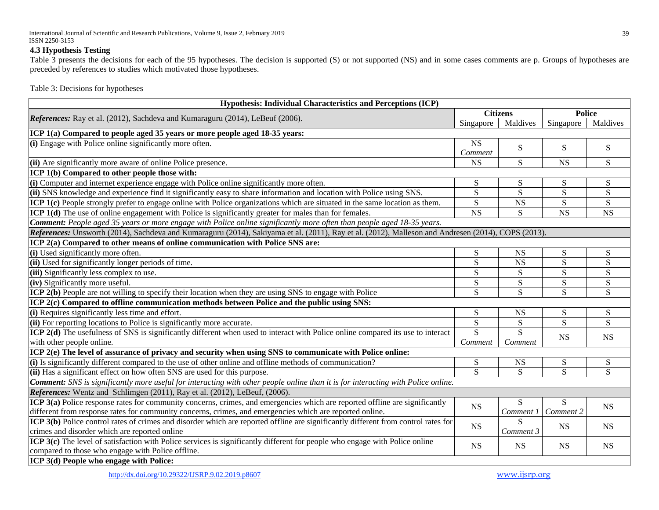#### **4.3 Hypothesis Testing**

Table 3 presents the decisions for each of the 95 hypotheses. The decision is supported (S) or not supported (NS) and in some cases comments are p. Groups of hypotheses are preceded by references to studies which motivated those hypotheses.

Table 3: Decisions for hypotheses

| Hypothesis: Individual Characteristics and Perceptions (ICP)                                                                                       |                 |                |                |                |  |
|----------------------------------------------------------------------------------------------------------------------------------------------------|-----------------|----------------|----------------|----------------|--|
|                                                                                                                                                    | <b>Citizens</b> |                |                | <b>Police</b>  |  |
| <i>References:</i> Ray et al. (2012), Sachdeva and Kumaraguru (2014), LeBeuf (2006).                                                               | Singapore       | Maldives       | Singapore      | Maldives       |  |
| ICP 1(a) Compared to people aged 35 years or more people aged 18-35 years:                                                                         |                 |                |                |                |  |
| $(i)$ Engage with Police online significantly more often.                                                                                          | <b>NS</b>       | S              | S              | ${\bf S}$      |  |
|                                                                                                                                                    | Comment         |                |                |                |  |
| (ii) Are significantly more aware of online Police presence.                                                                                       | <b>NS</b>       | S              | <b>NS</b>      | S              |  |
| ICP 1(b) Compared to other people those with:                                                                                                      |                 |                |                |                |  |
| (i) Computer and internet experience engage with Police online significantly more often.                                                           | S               | S              | S              | ${\bf S}$      |  |
| (ii) SNS knowledge and experience find it significantly easy to share information and location with Police using SNS.                              | ${\bf S}$       | ${\bf S}$      | ${\bf S}$      | $\overline{S}$ |  |
| <b>ICP 1(c)</b> People strongly prefer to engage online with Police organizations which are situated in the same location as them.                 | S               | <b>NS</b>      | ${\bf S}$      | ${\bf S}$      |  |
| <b>ICP 1(d)</b> The use of online engagement with Police is significantly greater for males than for females.                                      | <b>NS</b>       | S              | <b>NS</b>      | $_{\rm NS}$    |  |
| <b>Comment:</b> People aged 35 years or more engage with Police online significantly more often than people aged 18-35 years.                      |                 |                |                |                |  |
| References: Unsworth (2014), Sachdeva and Kumaraguru (2014), Sakiyama et al. (2011), Ray et al. (2012), Malleson and Andresen (2014), COPS (2013). |                 |                |                |                |  |
| ICP 2(a) Compared to other means of online communication with Police SNS are:                                                                      |                 |                |                |                |  |
| (i) Used significantly more often.                                                                                                                 | ${\bf S}$       | <b>NS</b>      | S              | S              |  |
| (ii) Used for significantly longer periods of time.                                                                                                | S               | <b>NS</b>      | S              | ${\bf S}$      |  |
| (iii) Significantly less complex to use.                                                                                                           | S               | S              | S              | ${\bf S}$      |  |
| (iv) Significantly more useful.                                                                                                                    | S               | S              | S              | ${\bf S}$      |  |
| ICP 2(b) People are not willing to specify their location when they are using SNS to engage with Police                                            | $\overline{S}$  | $\overline{S}$ | S              | S              |  |
| ICP 2(c) Compared to offline communication methods between Police and the public using SNS:                                                        |                 |                |                |                |  |
| (i) Requires significantly less time and effort.                                                                                                   | ${\bf S}$       | <b>NS</b>      | ${\bf S}$      | ${\bf S}$      |  |
| (ii) For reporting locations to Police is significantly more accurate.                                                                             | $\overline{S}$  | S              | $\overline{S}$ | S              |  |
| ICP 2(d) The usefulness of SNS is significantly different when used to interact with Police online compared its use to interact                    | $\overline{S}$  | $\overline{S}$ | <b>NS</b>      | <b>NS</b>      |  |
| with other people online.                                                                                                                          | Comment         | Comment        |                |                |  |
| ICP 2(e) The level of assurance of privacy and security when using SNS to communicate with Police online:                                          |                 |                |                |                |  |
| (i) Is significantly different compared to the use of other online and offline methods of communication?                                           | ${\bf S}$       | <b>NS</b>      | S              | ${\bf S}$      |  |
| (ii) Has a significant effect on how often SNS are used for this purpose.                                                                          | $\overline{s}$  | S              | $\overline{S}$ | $\overline{S}$ |  |
| <b>Comment:</b> SNS is significantly more useful for interacting with other people online than it is for interacting with Police online.           |                 |                |                |                |  |
| References: Wentz and Schlimgen (2011), Ray et al. (2012), LeBeuf, (2006).                                                                         |                 |                |                |                |  |
| ICP 3(a) Police response rates for community concerns, crimes, and emergencies which are reported offline are significantly                        | <b>NS</b>       | S              | S              | <b>NS</b>      |  |
| different from response rates for community concerns, crimes, and emergencies which are reported online.                                           |                 | Comment 1      | Comment 2      |                |  |
| ICP 3(b) Police control rates of crimes and disorder which are reported offline are significantly different from control rates for                 | <b>NS</b>       | S              | <b>NS</b>      | <b>NS</b>      |  |
| crimes and disorder which are reported online                                                                                                      |                 | Comment 3      |                |                |  |
| ICP 3(c) The level of satisfaction with Police services is significantly different for people who engage with Police online                        | <b>NS</b>       | <b>NS</b>      | <b>NS</b>      | <b>NS</b>      |  |
| compared to those who engage with Police offline.                                                                                                  |                 |                |                |                |  |
| ICP 3(d) People who engage with Police:                                                                                                            |                 |                |                |                |  |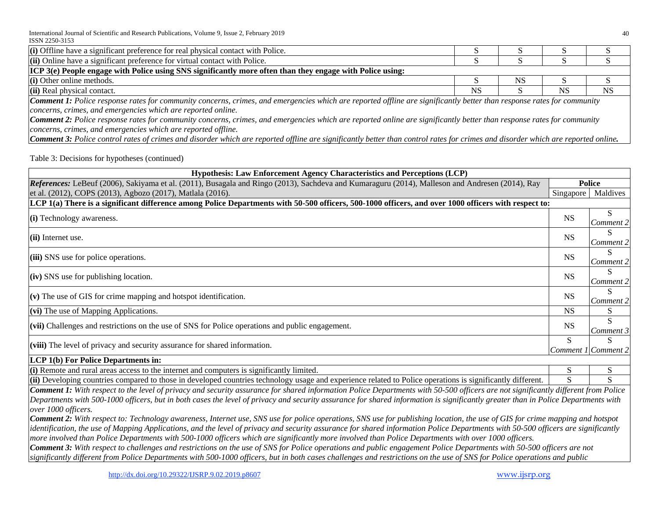| (i) Offline have a significant preference for real physical contact with Police.                                                                                                        |    |           |           |           |  |
|-----------------------------------------------------------------------------------------------------------------------------------------------------------------------------------------|----|-----------|-----------|-----------|--|
| (ii) Online have a significant preference for virtual contact with Police.                                                                                                              |    |           |           |           |  |
| ICP 3(e) People engage with Police using SNS significantly more often than they engage with Police using:                                                                               |    |           |           |           |  |
| (i) Other online methods.                                                                                                                                                               |    | <b>NS</b> |           |           |  |
| (ii) Real physical contact.                                                                                                                                                             | NS |           | <b>NS</b> | <b>NS</b> |  |
| <b>Comment 1:</b> Police response rates for community concerns, crimes, and emergencies which are reported offline are significantly better than response rates for community           |    |           |           |           |  |
| concerns, crimes, and emergencies which are reported online.                                                                                                                            |    |           |           |           |  |
| <b>Comment 2:</b> Police response rates for community concerns, crimes, and emergencies which are reported online are significantly better than response rates for community            |    |           |           |           |  |
| concerns, crimes, and emergencies which are reported offline.                                                                                                                           |    |           |           |           |  |
| <b>Comment 3:</b> Police control rates of crimes and disorder which are reported offline are significantly better than control rates for crimes and disorder which are reported online. |    |           |           |           |  |

## Table 3: Decisions for hypotheses (continued)

| Hypothesis: Law Enforcement Agency Characteristics and Perceptions (LCP)                                                                             |                          |                |  |  |
|------------------------------------------------------------------------------------------------------------------------------------------------------|--------------------------|----------------|--|--|
| References: LeBeuf (2006), Sakiyama et al. (2011), Busagala and Ringo (2013), Sachdeva and Kumaraguru (2014), Malleson and Andresen (2014), Ray      |                          |                |  |  |
| et al. (2012), COPS (2013), Agbozo (2017), Matlala (2016).                                                                                           | Singapore                | Maldives       |  |  |
| LCP 1(a) There is a significant difference among Police Departments with 50-500 officers, 500-1000 officers, and over 1000 officers with respect to: |                          |                |  |  |
| (i) Technology awareness.                                                                                                                            | <b>NS</b>                | S<br>Comment 2 |  |  |
| $(ii)$ Internet use.                                                                                                                                 | <b>NS</b>                | Comment 2      |  |  |
| (iii) SNS use for police operations.                                                                                                                 | <b>NS</b>                | S<br>Comment 2 |  |  |
| $\left\vert \mathrm{(iv)}\mathrm{S}\mathrm{N}\mathrm{S}\right\vert$ use for publishing location.                                                     | <b>NS</b>                | S<br>Comment 2 |  |  |
| $(v)$ The use of GIS for crime mapping and hotspot identification.                                                                                   | <b>NS</b>                | Comment 2      |  |  |
| $(vi)$ The use of Mapping Applications.                                                                                                              | <b>NS</b>                | S.             |  |  |
| $(vii)$ Challenges and restrictions on the use of SNS for Police operations and public engagement.                                                   | <b>NS</b>                | S<br>Comment 3 |  |  |
| $(viii)$ The level of privacy and security assurance for shared information.                                                                         | S<br>Comment 1 Comment 2 | S              |  |  |
| LCP 1(b) For Police Departments in:                                                                                                                  |                          |                |  |  |

| (i)<br>11111<br>limited.<br>…icantly<br><b>Rem</b><br>1nterr<br>.s19111<br>computer<br>anc<br>$\therefore$ acce<br>and<br>. areas<br>TΩ<br>əte<br>ннаг                                                                                                                |  |
|-----------------------------------------------------------------------------------------------------------------------------------------------------------------------------------------------------------------------------------------------------------------------|--|
| $(ii)$ Deve<br>f11<br>$. \sim$<br>terent:<br>S1Qn<br>∠nificantly<br>techno<br>erations<br>those<br>., Police<br>ountr_<br>oin!<br>$\sim$ 0.00 $\sim$<br>related<br>u expert<br>1000<br>and<br>1n<br>ıntr<br>usage<br>1093<br>nnared<br>$\sim$ . The set of $\sim$<br> |  |

*Comment 1: With respect to the level of privacy and security assurance for shared information Police Departments with 50-500 officers are not significantly different from Police*  Departments with 500-1000 officers, but in both cases the level of privacy and security assurance for shared information is significantly greater than in Police Departments with *over 1000 officers.*

*Comment 2: With respect to: Technology awareness, Internet use, SNS use for police operations, SNS use for publishing location, the use of GIS for crime mapping and hotspot identification, the use of Mapping Applications, and the level of privacy and security assurance for shared information Police Departments with 50-500 officers are significantly more involved than Police Departments with 500-1000 officers which are significantly more involved than Police Departments with over 1000 officers.*

*Comment 3: With respect to challenges and restrictions on the use of SNS for Police operations and public engagement Police Departments with 50-500 officers are not significantly different from Police Departments with 500-1000 officers, but in both cases challenges and restrictions on the use of SNS for Police operations and public*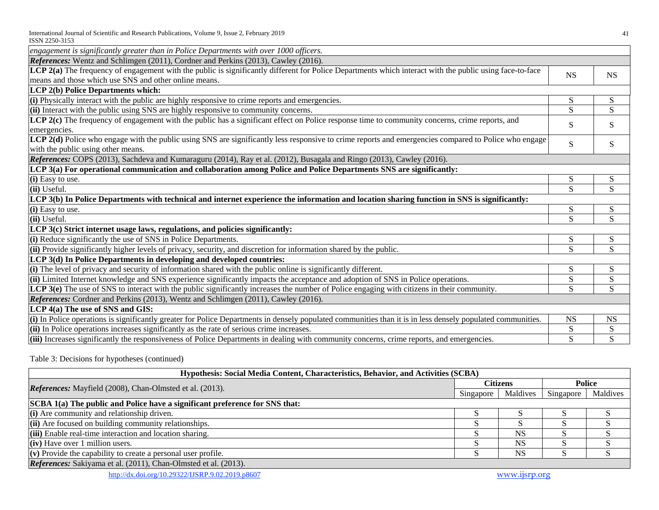| engagement is significantly greater than in Police Departments with over 1000 officers.                                                                                                     |              |           |
|---------------------------------------------------------------------------------------------------------------------------------------------------------------------------------------------|--------------|-----------|
| References: Wentz and Schlimgen (2011), Cordner and Perkins (2013), Cawley (2016).                                                                                                          |              |           |
| LCP 2(a) The frequency of engagement with the public is significantly different for Police Departments which interact with the public using face-to-face                                    | <b>NS</b>    | <b>NS</b> |
| means and those which use SNS and other online means.                                                                                                                                       |              |           |
| LCP 2(b) Police Departments which:                                                                                                                                                          |              |           |
| $(i)$ Physically interact with the public are highly responsive to crime reports and emergencies.                                                                                           | S            | S         |
| $(iii)$ Interact with the public using SNS are highly responsive to community concerns.                                                                                                     | $\mathbf S$  | S         |
| LCP 2(c) The frequency of engagement with the public has a significant effect on Police response time to community concerns, crime reports, and<br>emergencies.                             | S            | S         |
| LCP 2(d) Police who engage with the public using SNS are significantly less responsive to crime reports and emergencies compared to Police who engage<br>with the public using other means. | S            | S.        |
| References: COPS (2013), Sachdeva and Kumaraguru (2014), Ray et al. (2012), Busagala and Ringo (2013), Cawley (2016).                                                                       |              |           |
| LCP 3(a) For operational communication and collaboration among Police and Police Departments SNS are significantly:                                                                         |              |           |
| (i) Easy to use.                                                                                                                                                                            | S            | S         |
| (ii) Useful.                                                                                                                                                                                | S            | S         |
| LCP 3(b) In Police Departments with technical and internet experience the information and location sharing function in SNS is significantly:                                                |              |           |
| (i) Easy to use.                                                                                                                                                                            | ${\bf S}$    | S         |
| (ii) Useful.                                                                                                                                                                                | <sub>S</sub> | S         |
| LCP 3(c) Strict internet usage laws, regulations, and policies significantly:                                                                                                               |              |           |
| (i) Reduce significantly the use of SNS in Police Departments.                                                                                                                              | S            | S         |
| (ii) Provide significantly higher levels of privacy, security, and discretion for information shared by the public.                                                                         | S            | S         |
| LCP 3(d) In Police Departments in developing and developed countries:                                                                                                                       |              |           |
| $(i)$ The level of privacy and security of information shared with the public online is significantly different.                                                                            | S            | ${\bf S}$ |
| (ii) Limited Internet knowledge and SNS experience significantly impacts the acceptance and adoption of SNS in Police operations.                                                           | S            | S         |
| LCP 3(e) The use of SNS to interact with the public significantly increases the number of Police engaging with citizens in their community.                                                 | S            | S         |
| <i>References:</i> Cordner and Perkins (2013), Wentz and Schlimgen (2011), Cawley (2016).                                                                                                   |              |           |
| LCP 4(a) The use of SNS and GIS:                                                                                                                                                            |              |           |
| (i) In Police operations is significantly greater for Police Departments in densely populated communities than it is in less densely populated communities.                                 | <b>NS</b>    | <b>NS</b> |
| $(iii)$ In Police operations increases significantly as the rate of serious crime increases.                                                                                                | S            | S         |
| (iii) Increases significantly the responsiveness of Police Departments in dealing with community concerns, crime reports, and emergencies.                                                  | S            | ${\bf S}$ |

Table 3: Decisions for hypotheses (continued)

| Hypothesis: Social Media Content, Characteristics, Behavior, and Activities (SCBA) |           |           |           |          |  |  |
|------------------------------------------------------------------------------------|-----------|-----------|-----------|----------|--|--|
|                                                                                    | Citizens  |           | Police    |          |  |  |
| <i>References:</i> Mayfield (2008), Chan-Olmsted et al. (2013).                    | Singapore | Maldives  | Singapore | Maldives |  |  |
| SCBA 1(a) The public and Police have a significant preference for SNS that:        |           |           |           |          |  |  |
| $(i)$ Are community and relationship driven.                                       |           |           |           |          |  |  |
| $\left  \right $ (ii) Are focused on building community relationships.             |           |           |           |          |  |  |
| (iii) Enable real-time interaction and location sharing.                           |           | <b>NS</b> |           |          |  |  |
| $(iv)$ Have over 1 million users.                                                  |           | <b>NS</b> |           |          |  |  |
| $(v)$ Provide the capability to create a personal user profile.                    |           | <b>NS</b> |           |          |  |  |
| References: Sakiyama et al. (2011), Chan-Olmsted et al. (2013).                    |           |           |           |          |  |  |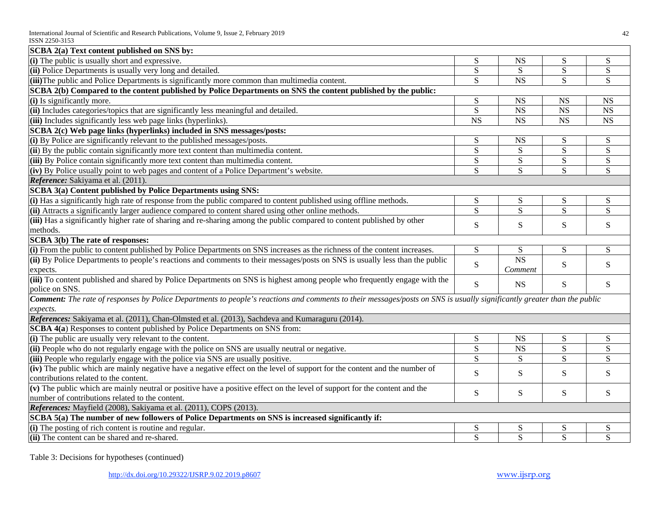| SCBA 2(a) Text content published on SNS by:                                                                                                                                    |                        |                        |                        |                |
|--------------------------------------------------------------------------------------------------------------------------------------------------------------------------------|------------------------|------------------------|------------------------|----------------|
| (i) The public is usually short and expressive.                                                                                                                                | S                      | <b>NS</b>              | S                      | ${\bf S}$      |
| (ii) Police Departments is usually very long and detailed.                                                                                                                     | ${\bf S}$              | ${\bf S}$              | ${\bf S}$              | ${\bf S}$      |
| (iii) The public and Police Departments is significantly more common than multimedia content.                                                                                  | S                      | <b>NS</b>              | S                      | S              |
| SCBA 2(b) Compared to the content published by Police Departments on SNS the content published by the public:                                                                  |                        |                        |                        |                |
| (i) Is significantly more.                                                                                                                                                     | ${\bf S}$              | <b>NS</b>              | <b>NS</b>              | <b>NS</b>      |
| (ii) Includes categories/topics that are significantly less meaningful and detailed.                                                                                           | S                      | $_{\rm NS}$            | <b>NS</b>              | <b>NS</b>      |
| (iii) Includes significantly less web page links (hyperlinks).                                                                                                                 | $\overline{\text{NS}}$ | $\overline{\text{NS}}$ | $\overline{\text{NS}}$ | <b>NS</b>      |
| SCBA 2(c) Web page links (hyperlinks) included in SNS messages/posts:                                                                                                          |                        |                        |                        |                |
| (i) By Police are significantly relevant to the published messages/posts.                                                                                                      | S                      | <b>NS</b>              | ${\bf S}$              | S              |
| (ii) By the public contain significantly more text content than multimedia content.                                                                                            | S                      | S                      | S                      | ${\bf S}$      |
| (iii) By Police contain significantly more text content than multimedia content.                                                                                               | S                      | ${\bf S}$              | ${\bf S}$              | ${\bf S}$      |
| (iv) By Police usually point to web pages and content of a Police Department's website.                                                                                        | S                      | S                      | S                      | S              |
| Reference: Sakiyama et al. (2011).                                                                                                                                             |                        |                        |                        |                |
| SCBA 3(a) Content published by Police Departments using SNS:                                                                                                                   |                        |                        |                        |                |
| (i) Has a significantly high rate of response from the public compared to content published using offline methods.                                                             | ${\bf S}$              | ${\bf S}$              | ${\bf S}$              | ${\bf S}$      |
| (ii) Attracts a significantly larger audience compared to content shared using other online methods.                                                                           | $\overline{S}$         | $\overline{S}$         | $\overline{S}$         | $\overline{S}$ |
| (iii) Has a significantly higher rate of sharing and re-sharing among the public compared to content published by other                                                        | S                      | S                      | S                      | S              |
| methods.                                                                                                                                                                       |                        |                        |                        |                |
| SCBA 3(b) The rate of responses:                                                                                                                                               |                        |                        |                        |                |
| (i) From the public to content published by Police Departments on SNS increases as the richness of the content increases.                                                      | ${\bf S}$              | S                      | ${\bf S}$              | S              |
| (ii) By Police Departments to people's reactions and comments to their messages/posts on SNS is usually less than the public                                                   | ${\bf S}$              | <b>NS</b>              | ${\bf S}$              | S              |
| expects.                                                                                                                                                                       |                        | Comment                |                        |                |
| (iii) To content published and shared by Police Departments on SNS is highest among people who frequently engage with the                                                      | S                      | <b>NS</b>              | S                      | S              |
| police on SNS.                                                                                                                                                                 |                        |                        |                        |                |
| <b>Comment:</b> The rate of responses by Police Departments to people's reactions and comments to their messages/posts on SNS is usually significantly greater than the public |                        |                        |                        |                |
| expects.                                                                                                                                                                       |                        |                        |                        |                |
| References: Sakiyama et al. (2011), Chan-Olmsted et al. (2013), Sachdeva and Kumaraguru (2014).                                                                                |                        |                        |                        |                |
| SCBA 4(a) Responses to content published by Police Departments on SNS from:                                                                                                    |                        |                        |                        |                |
| (i) The public are usually very relevant to the content.                                                                                                                       | ${\bf S}$              | <b>NS</b>              | ${\bf S}$              | ${\bf S}$      |
| (ii) People who do not regularly engage with the police on SNS are usually neutral or negative.                                                                                | $\overline{S}$         | $\overline{\text{NS}}$ | $\overline{S}$         | $\overline{S}$ |
| (iii) People who regularly engage with the police via SNS are usually positive.                                                                                                | S                      | S                      | S                      | S              |
| (iv) The public which are mainly negative have a negative effect on the level of support for the content and the number of                                                     | S                      | S                      | S                      | S              |
| contributions related to the content.                                                                                                                                          |                        |                        |                        |                |
| (v) The public which are mainly neutral or positive have a positive effect on the level of support for the content and the                                                     | ${\bf S}$              | ${\bf S}$              | ${\bf S}$              | S              |
| number of contributions related to the content.                                                                                                                                |                        |                        |                        |                |
| References: Mayfield (2008), Sakiyama et al. (2011), COPS (2013).                                                                                                              |                        |                        |                        |                |
| SCBA 5(a) The number of new followers of Police Departments on SNS is increased significantly if:                                                                              |                        |                        |                        |                |
| (i) The posting of rich content is routine and regular.                                                                                                                        | ${\bf S}$              | S                      | S                      | S              |
| (ii) The content can be shared and re-shared.                                                                                                                                  | $\overline{S}$         | $\overline{S}$         | S                      | $\overline{S}$ |

Table 3: Decisions for hypotheses (continued)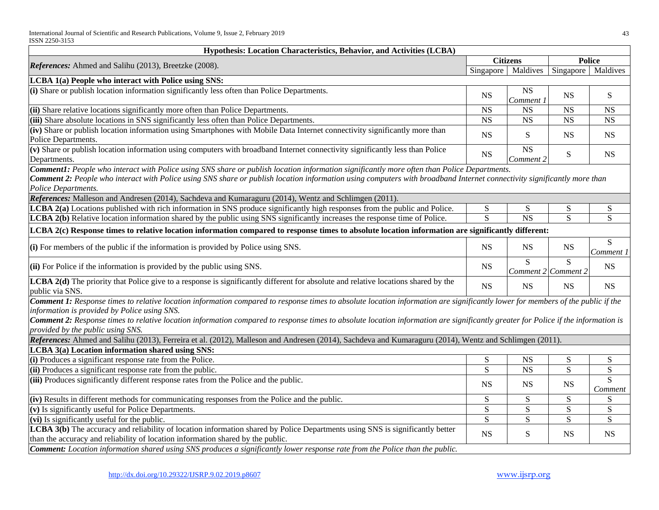| Hypothesis: Location Characteristics, Behavior, and Activities (LCBA)                                                                                                                                                                                                                                                                                                                                                                                            |                |                                   |                           |                           |
|------------------------------------------------------------------------------------------------------------------------------------------------------------------------------------------------------------------------------------------------------------------------------------------------------------------------------------------------------------------------------------------------------------------------------------------------------------------|----------------|-----------------------------------|---------------------------|---------------------------|
|                                                                                                                                                                                                                                                                                                                                                                                                                                                                  |                | <b>Citizens</b>                   |                           | <b>Police</b>             |
| References: Ahmed and Salihu (2013), Breetzke (2008).                                                                                                                                                                                                                                                                                                                                                                                                            | Singapore      | Maldives                          | Singapore                 | Maldives                  |
| LCBA 1(a) People who interact with Police using SNS:                                                                                                                                                                                                                                                                                                                                                                                                             |                |                                   |                           |                           |
| (i) Share or publish location information significantly less often than Police Departments.                                                                                                                                                                                                                                                                                                                                                                      | <b>NS</b>      | <b>NS</b><br>Comment 1            | <b>NS</b>                 | S                         |
| (ii) Share relative locations significantly more often than Police Departments.                                                                                                                                                                                                                                                                                                                                                                                  | <b>NS</b>      | <b>NS</b>                         | <b>NS</b>                 | <b>NS</b>                 |
| (iii) Share absolute locations in SNS significantly less often than Police Departments.                                                                                                                                                                                                                                                                                                                                                                          | <b>NS</b>      | <b>NS</b>                         | NS                        | <b>NS</b>                 |
| (iv) Share or publish location information using Smartphones with Mobile Data Internet connectivity significantly more than<br>Police Departments.                                                                                                                                                                                                                                                                                                               | <b>NS</b>      | S                                 | <b>NS</b>                 | <b>NS</b>                 |
| (v) Share or publish location information using computers with broadband Internet connectivity significantly less than Police<br>Departments.                                                                                                                                                                                                                                                                                                                    | <b>NS</b>      | <b>NS</b><br>Comment <sub>2</sub> | ${\bf S}$                 | <b>NS</b>                 |
| Comment1: People who interact with Police using SNS share or publish location information significantly more often than Police Departments.<br><b>Comment 2:</b> People who interact with Police using SNS share or publish location information using computers with broadband Internet connectivity significantly more than<br>Police Departments.                                                                                                             |                |                                   |                           |                           |
| References: Malleson and Andresen (2014), Sachdeva and Kumaraguru (2014), Wentz and Schlimgen (2011).<br>LCBA 2(a) Locations published with rich information in SNS produce significantly high responses from the public and Police.                                                                                                                                                                                                                             | S              |                                   |                           |                           |
| LCBA 2(b) Relative location information shared by the public using SNS significantly increases the response time of Police.                                                                                                                                                                                                                                                                                                                                      | $\overline{S}$ | S<br>$\overline{\text{NS}}$       | S<br>S                    | S<br>S                    |
|                                                                                                                                                                                                                                                                                                                                                                                                                                                                  |                |                                   |                           |                           |
| LCBA 2(c) Response times to relative location information compared to response times to absolute location information are significantly different:                                                                                                                                                                                                                                                                                                               |                |                                   |                           |                           |
| (i) For members of the public if the information is provided by Police using SNS.                                                                                                                                                                                                                                                                                                                                                                                | <b>NS</b>      | <b>NS</b>                         | <b>NS</b>                 | S<br>Comment 1            |
| $\left  \right $ (ii) For Police if the information is provided by the public using SNS.                                                                                                                                                                                                                                                                                                                                                                         | <b>NS</b>      | S.                                | S.<br>Comment 2 Comment 2 | <b>NS</b>                 |
| <b>LCBA 2(d)</b> The priority that Police give to a response is significantly different for absolute and relative locations shared by the<br>public via SNS.                                                                                                                                                                                                                                                                                                     | <b>NS</b>      | <b>NS</b>                         | <b>NS</b>                 | <b>NS</b>                 |
| Comment 1: Response times to relative location information compared to response times to absolute location information are significantly lower for members of the public if the<br>information is provided by Police using SNS.<br><b>Comment 2:</b> Response times to relative location information compared to response times to absolute location information are significantly greater for Police if the information is<br>provided by the public using SNS. |                |                                   |                           |                           |
| References: Ahmed and Salihu (2013), Ferreira et al. (2012), Malleson and Andresen (2014), Sachdeva and Kumaraguru (2014), Wentz and Schlimgen (2011).                                                                                                                                                                                                                                                                                                           |                |                                   |                           |                           |
| LCBA 3(a) Location information shared using SNS:                                                                                                                                                                                                                                                                                                                                                                                                                 |                |                                   |                           |                           |
| (i) Produces a significant response rate from the Police.                                                                                                                                                                                                                                                                                                                                                                                                        | ${\bf S}$      | <b>NS</b>                         | S                         | S                         |
| (ii) Produces a significant response rate from the public.                                                                                                                                                                                                                                                                                                                                                                                                       | S              | <b>NS</b>                         | S                         | ${\bf S}$                 |
| (iii) Produces significantly different response rates from the Police and the public.                                                                                                                                                                                                                                                                                                                                                                            | <b>NS</b>      | <b>NS</b>                         | <b>NS</b>                 | $\overline{S}$<br>Comment |
| (iv) Results in different methods for communicating responses from the Police and the public.                                                                                                                                                                                                                                                                                                                                                                    | S              | S                                 | ${\bf S}$                 | S                         |
| $(v)$ Is significantly useful for Police Departments.                                                                                                                                                                                                                                                                                                                                                                                                            | S              | S                                 | S                         | S                         |
| (vi) Is significantly useful for the public.                                                                                                                                                                                                                                                                                                                                                                                                                     | S              | S                                 | ${\bf S}$                 | S                         |
| LCBA 3(b) The accuracy and reliability of location information shared by Police Departments using SNS is significantly better<br>than the accuracy and reliability of location information shared by the public.                                                                                                                                                                                                                                                 | <b>NS</b>      | ${\bf S}$                         | $_{\rm NS}$               | <b>NS</b>                 |
| Comment: Location information shared using SNS produces a significantly lower response rate from the Police than the public.                                                                                                                                                                                                                                                                                                                                     |                |                                   |                           |                           |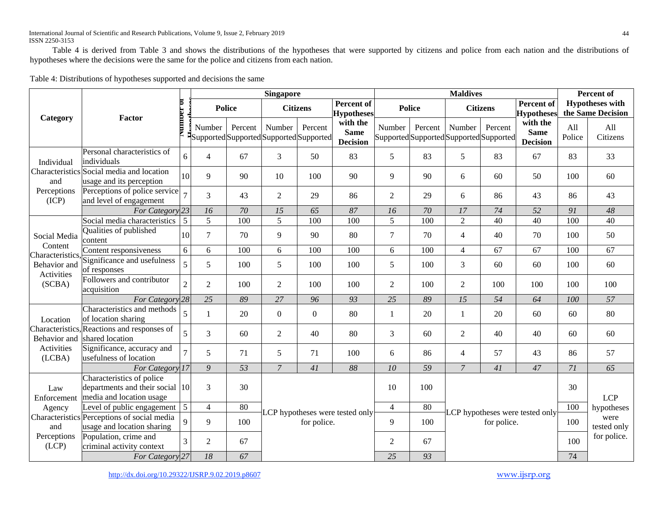Table 4 is derived from Table 3 and shows the distributions of the hypotheses that were supported by citizens and police from each nation and the distributions of hypotheses where the decisions were the same for the police and citizens from each nation.

|                                               |                                                                                          |                | <b>Singapore</b> |                                                    |                 |              |                                            |                |                                                    | <b>Maldives</b>                                |                 |                                            | <b>Percent of</b> |                                             |
|-----------------------------------------------|------------------------------------------------------------------------------------------|----------------|------------------|----------------------------------------------------|-----------------|--------------|--------------------------------------------|----------------|----------------------------------------------------|------------------------------------------------|-----------------|--------------------------------------------|-------------------|---------------------------------------------|
| Category                                      | Factor                                                                                   |                |                  | <b>Police</b>                                      | <b>Citizens</b> |              | Percent of<br><b>Hypotheses</b>            |                | <b>Police</b>                                      |                                                | <b>Citizens</b> | Percent of<br><b>Hypotheses</b>            |                   | <b>Hypotheses with</b><br>the Same Decision |
|                                               |                                                                                          |                | Number           | Percent<br>Supported Supported Supported Supported | Number          | Percent      | with the<br><b>Same</b><br><b>Decision</b> | Number         | Percent<br>Supported Supported Supported Supported | Number                                         | Percent         | with the<br><b>Same</b><br><b>Decision</b> | All<br>Police     | All<br>Citizens                             |
| Individual                                    | Personal characteristics of<br>individuals                                               | 6              | $\overline{4}$   | 67                                                 | $\mathfrak{Z}$  | 50           | 83                                         | 5              | 83                                                 | 5                                              | 83              | 67                                         | 83                | 33                                          |
| and                                           | Characteristics Social media and location<br>usage and its perception                    | 10             | 9                | 90                                                 | 10              | 100          | 90                                         | 9              | 90                                                 | 6                                              | 60              | 50                                         | 100               | 60                                          |
| Perceptions<br>(ICP)                          | Perceptions of police service<br>and level of engagement                                 |                | $\overline{3}$   | 43                                                 | 2               | 29           | 86                                         | $\overline{2}$ | 29                                                 | 6                                              | 86              | 43                                         | 86                | 43                                          |
|                                               | For Category 23                                                                          |                | 16               | 70                                                 | 15              | 65           | 87                                         | 16             | 70                                                 | 17                                             | 74              | 52                                         | 91                | 48                                          |
|                                               | Social media characteristics                                                             | 5              | 5                | 100                                                | 5               | 100          | 100                                        | 5              | 100                                                | $\overline{2}$                                 | 40              | 40                                         | 100               | 40                                          |
| Social Media                                  | Qualities of published<br>content                                                        | 10             | $\overline{7}$   | 70                                                 | 9               | 90           | 80                                         | $\tau$         | 70                                                 | $\overline{4}$                                 | 40              | 70                                         | 100               | 50                                          |
| Content                                       | Content responsiveness                                                                   | 6              | 6                | 100                                                | 6               | 100          | 100                                        | 6              | 100                                                | $\overline{4}$                                 | 67              | 67                                         | 100               | $\overline{67}$                             |
| Characteristics<br>Behavior and<br>Activities | Significance and usefulness<br>of responses                                              | $\overline{5}$ | 5                | 100                                                | 5               | 100          | 100                                        | 5              | 100                                                | 3                                              | 60              | 60                                         | 100               | 60                                          |
| (SCBA)                                        | Followers and contributor<br>acquisition                                                 | $\overline{2}$ | $\overline{2}$   | 100                                                | 2               | 100          | 100                                        | $\overline{2}$ | 100                                                | $\overline{2}$                                 | 100             | 100                                        | 100               | 100                                         |
|                                               | For Category 28                                                                          |                | 25               | 89                                                 | 27              | 96           | 93                                         | 25             | 89                                                 | 15                                             | 54              | 64                                         | 100               | 57                                          |
| Location                                      | Characteristics and methods<br>of location sharing                                       | 5              | $\mathbf{1}$     | 20                                                 | $\overline{0}$  | $\mathbf{0}$ | 80                                         |                | 20                                                 | -1                                             | 20              | 60                                         | 60                | 80                                          |
| Characteristics.<br>Behavior and              | Reactions and responses of<br>shared location                                            | 5              | $\overline{3}$   | 60                                                 | 2               | 40           | 80                                         | 3              | 60                                                 | $\overline{2}$                                 | 40              | 40                                         | 60                | 60                                          |
| Activities<br>(LCBA)                          | Significance, accuracy and<br>usefulness of location                                     | $\overline{7}$ | 5                | 71                                                 | 5               | 71           | 100                                        | 6              | 86                                                 | $\overline{4}$                                 | 57              | 43                                         | 86                | 57                                          |
|                                               | For Category 17                                                                          |                | 9                | 53                                                 | $\overline{7}$  | 41           | 88                                         | 10             | 59                                                 | $\overline{7}$                                 | 41              | 47                                         | 71                | 65                                          |
| Law<br>Enforcement                            | Characteristics of police<br>departments and their social 10<br>media and location usage |                | 3                | 30                                                 |                 |              |                                            | 10             | 100                                                |                                                |                 |                                            | 30                | <b>LCP</b>                                  |
| Agency                                        | Level of public engagement                                                               | $\overline{5}$ | $\overline{4}$   | 80                                                 |                 |              |                                            | $\overline{4}$ | 80                                                 |                                                |                 |                                            | 100               | hypotheses                                  |
| and                                           | Characteristics Perceptions of social media<br>usage and location sharing                | $\Omega$       | 9                | 100                                                |                 | for police.  | LCP hypotheses were tested only            | 9              | 100                                                | LCP hypotheses were tested only<br>for police. |                 |                                            | 100               | were<br>tested only                         |
| Perceptions<br>(LCP)                          | Population, crime and<br>criminal activity context                                       | $\overline{3}$ | $\overline{2}$   | 67                                                 |                 |              |                                            | $\overline{2}$ | 67                                                 |                                                |                 |                                            | 100               | for police.                                 |
|                                               | For Category <sup>27</sup>                                                               |                | $18\,$           | 67                                                 |                 |              |                                            | 25             | 93                                                 |                                                |                 | 74                                         |                   |                                             |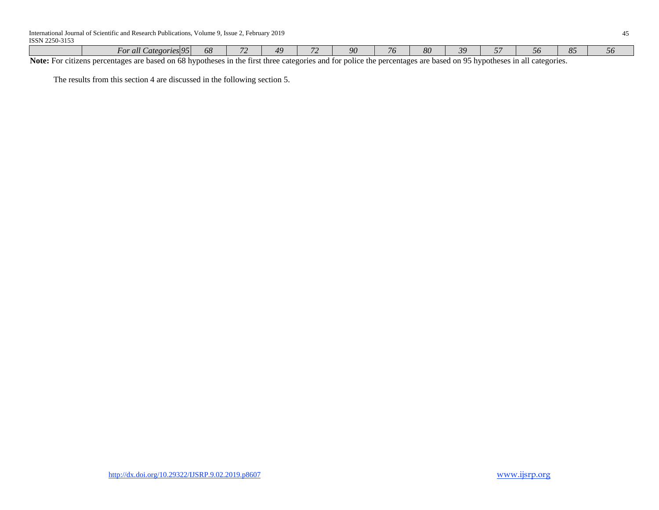|      | $\angle$ ategories 95<br><i>For all</i> | ZΩ.<br>Οŏ | $\overline{\phantom{a}}$ | $A\Omega$ | u  | -80 | ∼.         | $\sim$ | OC | $\sim$ |
|------|-----------------------------------------|-----------|--------------------------|-----------|----|-----|------------|--------|----|--------|
| $ -$ | __                                      |           |                          |           | -- |     | $\sim$ $-$ |        |    |        |

**Note:** For citizens percentages are based on 68 hypotheses in the first three categories and for police the percentages are based on 95 hypotheses in all categories.

The results from this section 4 are discussed in the following section 5.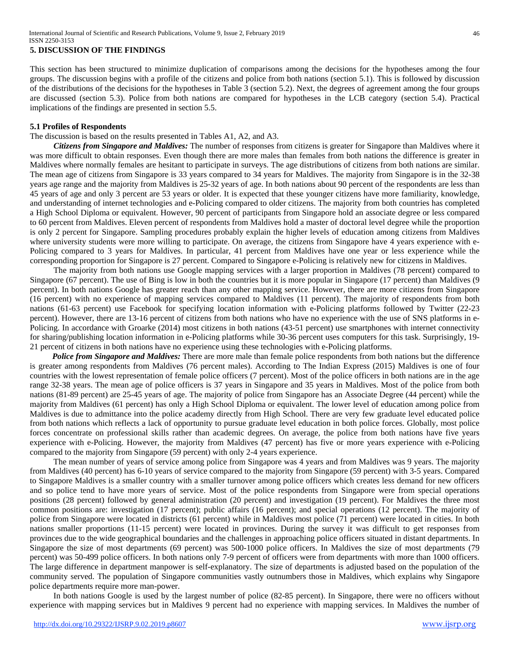## **5. DISCUSSION OF THE FINDINGS**

This section has been structured to minimize duplication of comparisons among the decisions for the hypotheses among the four groups. The discussion begins with a profile of the citizens and police from both nations (section 5.1). This is followed by discussion of the distributions of the decisions for the hypotheses in Table 3 (section 5.2). Next, the degrees of agreement among the four groups are discussed (section 5.3). Police from both nations are compared for hypotheses in the LCB category (section 5.4). Practical implications of the findings are presented in section 5.5.

#### **5.1 Profiles of Respondents**

## The discussion is based on the results presented in Tables A1, A2, and A3.

*Citizens from Singapore and Maldives:* The number of responses from citizens is greater for Singapore than Maldives where it was more difficult to obtain responses. Even though there are more males than females from both nations the difference is greater in Maldives where normally females are hesitant to participate in surveys. The age distributions of citizens from both nations are similar. The mean age of citizens from Singapore is 33 years compared to 34 years for Maldives. The majority from Singapore is in the 32-38 years age range and the majority from Maldives is 25-32 years of age. In both nations about 90 percent of the respondents are less than 45 years of age and only 3 percent are 53 years or older. It is expected that these younger citizens have more familiarity, knowledge, and understanding of internet technologies and e-Policing compared to older citizens. The majority from both countries has completed a High School Diploma or equivalent. However, 90 percent of participants from Singapore hold an associate degree or less compared to 60 percent from Maldives. Eleven percent of respondents from Maldives hold a master of doctoral level degree while the proportion is only 2 percent for Singapore. Sampling procedures probably explain the higher levels of education among citizens from Maldives where university students were more willing to participate. On average, the citizens from Singapore have 4 years experience with e-Policing compared to 3 years for Maldives. In particular, 41 percent from Maldives have one year or less experience while the corresponding proportion for Singapore is 27 percent. Compared to Singapore e-Policing is relatively new for citizens in Maldives.

The majority from both nations use Google mapping services with a larger proportion in Maldives (78 percent) compared to Singapore (67 percent). The use of Bing is low in both the countries but it is more popular in Singapore (17 percent) than Maldives (9 percent). In both nations Google has greater reach than any other mapping service. However, there are more citizens from Singapore (16 percent) with no experience of mapping services compared to Maldives (11 percent). The majority of respondents from both nations (61-63 percent) use Facebook for specifying location information with e-Policing platforms followed by Twitter (22-23 percent). However, there are 13-16 percent of citizens from both nations who have no experience with the use of SNS platforms in e-Policing. In accordance with Groarke (2014) most citizens in both nations (43-51 percent) use smartphones with internet connectivity for sharing/publishing location information in e-Policing platforms while 30-36 percent uses computers for this task. Surprisingly, 19- 21 percent of citizens in both nations have no experience using these technologies with e-Policing platforms.

*Police from Singapore and Maldives:* There are more male than female police respondents from both nations but the difference is greater among respondents from Maldives (76 percent males). According to The Indian Express (2015) Maldives is one of four countries with the lowest representation of female police officers (7 percent). Most of the police officers in both nations are in the age range 32-38 years. The mean age of police officers is 37 years in Singapore and 35 years in Maldives. Most of the police from both nations (81-89 percent) are 25-45 years of age. The majority of police from Singapore has an Associate Degree (44 percent) while the majority from Maldives (61 percent) has only a High School Diploma or equivalent. The lower level of education among police from Maldives is due to admittance into the police academy directly from High School. There are very few graduate level educated police from both nations which reflects a lack of opportunity to pursue graduate level education in both police forces. Globally, most police forces concentrate on professional skills rather than academic degrees. On average, the police from both nations have five years experience with e-Policing. However, the majority from Maldives (47 percent) has five or more years experience with e-Policing compared to the majority from Singapore (59 percent) with only 2-4 years experience.

The mean number of years of service among police from Singapore was 4 years and from Maldives was 9 years. The majority from Maldives (40 percent) has 6-10 years of service compared to the majority from Singapore (59 percent) with 3-5 years. Compared to Singapore Maldives is a smaller country with a smaller turnover among police officers which creates less demand for new officers and so police tend to have more years of service. Most of the police respondents from Singapore were from special operations positions (28 percent) followed by general administration (20 percent) and investigation (19 percent). For Maldives the three most common positions are: investigation (17 percent); public affairs (16 percent); and special operations (12 percent). The majority of police from Singapore were located in districts (61 percent) while in Maldives most police (71 percent) were located in cities. In both nations smaller proportions (11-15 percent) were located in provinces. During the survey it was difficult to get responses from provinces due to the wide geographical boundaries and the challenges in approaching police officers situated in distant departments. In Singapore the size of most departments (69 percent) was 500-1000 police officers. In Maldives the size of most departments (79 percent) was 50-499 police officers. In both nations only 7-9 percent of officers were from departments with more than 1000 officers. The large difference in department manpower is self-explanatory. The size of departments is adjusted based on the population of the community served. The population of Singapore communities vastly outnumbers those in Maldives, which explains why Singapore police departments require more man-power.

In both nations Google is used by the largest number of police (82-85 percent). In Singapore, there were no officers without experience with mapping services but in Maldives 9 percent had no experience with mapping services. In Maldives the number of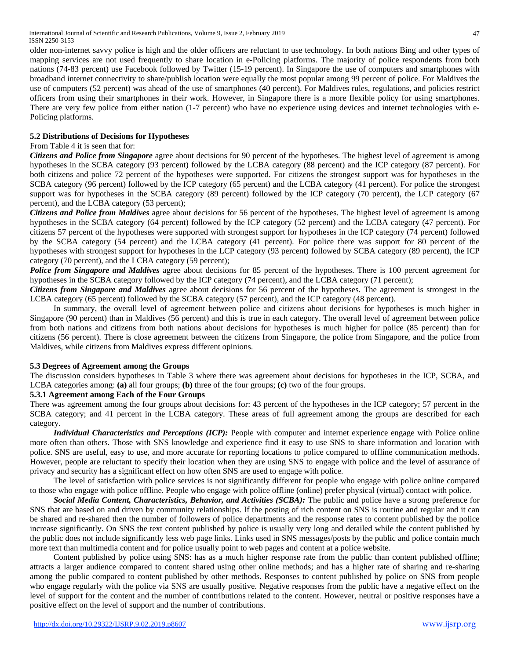older non-internet savvy police is high and the older officers are reluctant to use technology. In both nations Bing and other types of mapping services are not used frequently to share location in e-Policing platforms. The majority of police respondents from both nations (74-83 percent) use Facebook followed by Twitter (15-19 percent). In Singapore the use of computers and smartphones with broadband internet connectivity to share/publish location were equally the most popular among 99 percent of police. For Maldives the use of computers (52 percent) was ahead of the use of smartphones (40 percent). For Maldives rules, regulations, and policies restrict officers from using their smartphones in their work. However, in Singapore there is a more flexible policy for using smartphones. There are very few police from either nation (1-7 percent) who have no experience using devices and internet technologies with e-Policing platforms.

## **5.2 Distributions of Decisions for Hypotheses**

## From Table 4 it is seen that for:

**Citizens and Police from Singapore** agree about decisions for 90 percent of the hypotheses. The highest level of agreement is among hypotheses in the SCBA category (93 percent) followed by the LCBA category (88 percent) and the ICP category (87 percent). For both citizens and police 72 percent of the hypotheses were supported. For citizens the strongest support was for hypotheses in the SCBA category (96 percent) followed by the ICP category (65 percent) and the LCBA category (41 percent). For police the strongest support was for hypotheses in the SCBA category (89 percent) followed by the ICP category (70 percent), the LCP category (67 percent), and the LCBA category (53 percent);

*Citizens and Police from Maldives* agree about decisions for 56 percent of the hypotheses. The highest level of agreement is among hypotheses in the SCBA category (64 percent) followed by the ICP category (52 percent) and the LCBA category (47 percent). For citizens 57 percent of the hypotheses were supported with strongest support for hypotheses in the ICP category (74 percent) followed by the SCBA category (54 percent) and the LCBA category (41 percent). For police there was support for 80 percent of the hypotheses with strongest support for hypotheses in the LCP category (93 percent) followed by SCBA category (89 percent), the ICP category (70 percent), and the LCBA category (59 percent);

*Police from Singapore and Maldives* agree about decisions for 85 percent of the hypotheses. There is 100 percent agreement for hypotheses in the SCBA category followed by the ICP category (74 percent), and the LCBA category (71 percent);

*Citizens from Singapore and Maldives* agree about decisions for 56 percent of the hypotheses. The agreement is strongest in the LCBA category (65 percent) followed by the SCBA category (57 percent), and the ICP category (48 percent).

In summary, the overall level of agreement between police and citizens about decisions for hypotheses is much higher in Singapore (90 percent) than in Maldives (56 percent) and this is true in each category. The overall level of agreement between police from both nations and citizens from both nations about decisions for hypotheses is much higher for police (85 percent) than for citizens (56 percent). There is close agreement between the citizens from Singapore, the police from Singapore, and the police from Maldives, while citizens from Maldives express different opinions.

## **5.3 Degrees of Agreement among the Groups**

The discussion considers hypotheses in Table 3 where there was agreement about decisions for hypotheses in the ICP, SCBA, and LCBA categories among: **(a)** all four groups; **(b)** three of the four groups; **(c)** two of the four groups.

## **5.3.1 Agreement among Each of the Four Groups**

There was agreement among the four groups about decisions for: 43 percent of the hypotheses in the ICP category; 57 percent in the SCBA category; and 41 percent in the LCBA category. These areas of full agreement among the groups are described for each category.

*Individual Characteristics and Perceptions (ICP):* People with computer and internet experience engage with Police online more often than others. Those with SNS knowledge and experience find it easy to use SNS to share information and location with police. SNS are useful, easy to use, and more accurate for reporting locations to police compared to offline communication methods. However, people are reluctant to specify their location when they are using SNS to engage with police and the level of assurance of privacy and security has a significant effect on how often SNS are used to engage with police.

The level of satisfaction with police services is not significantly different for people who engage with police online compared to those who engage with police offline. People who engage with police offline (online) prefer physical (virtual) contact with police.

*Social Media Content, Characteristics, Behavior, and Activities (SCBA):* The public and police have a strong preference for SNS that are based on and driven by community relationships. If the posting of rich content on SNS is routine and regular and it can be shared and re-shared then the number of followers of police departments and the response rates to content published by the police increase significantly. On SNS the text content published by police is usually very long and detailed while the content published by the public does not include significantly less web page links. Links used in SNS messages/posts by the public and police contain much more text than multimedia content and for police usually point to web pages and content at a police website.

Content published by police using SNS: has as a much higher response rate from the public than content published offline; attracts a larger audience compared to content shared using other online methods; and has a higher rate of sharing and re-sharing among the public compared to content published by other methods. Responses to content published by police on SNS from people who engage regularly with the police via SNS are usually positive. Negative responses from the public have a negative effect on the level of support for the content and the number of contributions related to the content. However, neutral or positive responses have a positive effect on the level of support and the number of contributions.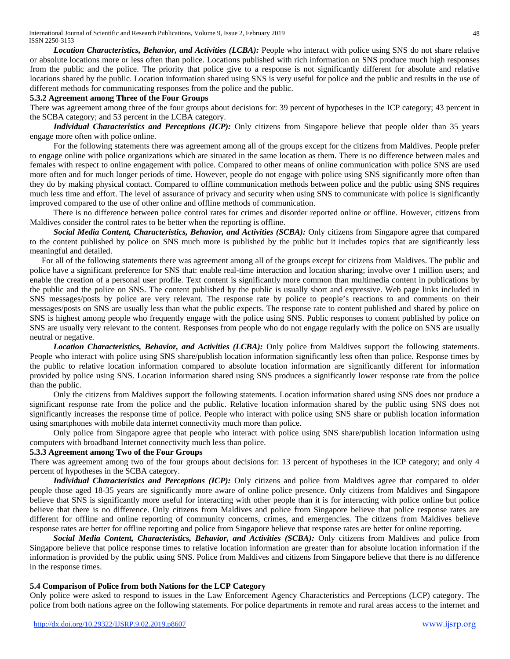*Location Characteristics, Behavior, and Activities (LCBA):* People who interact with police using SNS do not share relative or absolute locations more or less often than police. Locations published with rich information on SNS produce much high responses from the public and the police. The priority that police give to a response is not significantly different for absolute and relative locations shared by the public. Location information shared using SNS is very useful for police and the public and results in the use of different methods for communicating responses from the police and the public.

## **5.3.2 Agreement among Three of the Four Groups**

There was agreement among three of the four groups about decisions for: 39 percent of hypotheses in the ICP category; 43 percent in the SCBA category; and 53 percent in the LCBA category.

*Individual Characteristics and Perceptions (ICP):* Only citizens from Singapore believe that people older than 35 years engage more often with police online.

For the following statements there was agreement among all of the groups except for the citizens from Maldives. People prefer to engage online with police organizations which are situated in the same location as them. There is no difference between males and females with respect to online engagement with police. Compared to other means of online communication with police SNS are used more often and for much longer periods of time. However, people do not engage with police using SNS significantly more often than they do by making physical contact. Compared to offline communication methods between police and the public using SNS requires much less time and effort. The level of assurance of privacy and security when using SNS to communicate with police is significantly improved compared to the use of other online and offline methods of communication.

There is no difference between police control rates for crimes and disorder reported online or offline. However, citizens from Maldives consider the control rates to be better when the reporting is offline.

*Social Media Content, Characteristics, Behavior, and Activities (SCBA):* Only citizens from Singapore agree that compared to the content published by police on SNS much more is published by the public but it includes topics that are significantly less meaningful and detailed.

For all of the following statements there was agreement among all of the groups except for citizens from Maldives. The public and police have a significant preference for SNS that: enable real-time interaction and location sharing; involve over 1 million users; and enable the creation of a personal user profile. Text content is significantly more common than multimedia content in publications by the public and the police on SNS. The content published by the public is usually short and expressive. Web page links included in SNS messages/posts by police are very relevant. The response rate by police to people's reactions to and comments on their messages/posts on SNS are usually less than what the public expects. The response rate to content published and shared by police on SNS is highest among people who frequently engage with the police using SNS. Public responses to content published by police on SNS are usually very relevant to the content. Responses from people who do not engage regularly with the police on SNS are usually neutral or negative.

*Location Characteristics, Behavior, and Activities (LCBA):* Only police from Maldives support the following statements. People who interact with police using SNS share/publish location information significantly less often than police. Response times by the public to relative location information compared to absolute location information are significantly different for information provided by police using SNS. Location information shared using SNS produces a significantly lower response rate from the police than the public.

Only the citizens from Maldives support the following statements. Location information shared using SNS does not produce a significant response rate from the police and the public. Relative location information shared by the public using SNS does not significantly increases the response time of police. People who interact with police using SNS share or publish location information using smartphones with mobile data internet connectivity much more than police.

Only police from Singapore agree that people who interact with police using SNS share/publish location information using computers with broadband Internet connectivity much less than police.

#### **5.3.3 Agreement among Two of the Four Groups**

There was agreement among two of the four groups about decisions for: 13 percent of hypotheses in the ICP category; and only 4 percent of hypotheses in the SCBA category.

*Individual Characteristics and Perceptions (ICP):* Only citizens and police from Maldives agree that compared to older people those aged 18-35 years are significantly more aware of online police presence. Only citizens from Maldives and Singapore believe that SNS is significantly more useful for interacting with other people than it is for interacting with police online but police believe that there is no difference. Only citizens from Maldives and police from Singapore believe that police response rates are different for offline and online reporting of community concerns, crimes, and emergencies. The citizens from Maldives believe response rates are better for offline reporting and police from Singapore believe that response rates are better for online reporting.

*Social Media Content, Characteristics, Behavior, and Activities (SCBA):* Only citizens from Maldives and police from Singapore believe that police response times to relative location information are greater than for absolute location information if the information is provided by the public using SNS. Police from Maldives and citizens from Singapore believe that there is no difference in the response times.

#### **5.4 Comparison of Police from both Nations for the LCP Category**

Only police were asked to respond to issues in the Law Enforcement Agency Characteristics and Perceptions (LCP) category. The police from both nations agree on the following statements. For police departments in remote and rural areas access to the internet and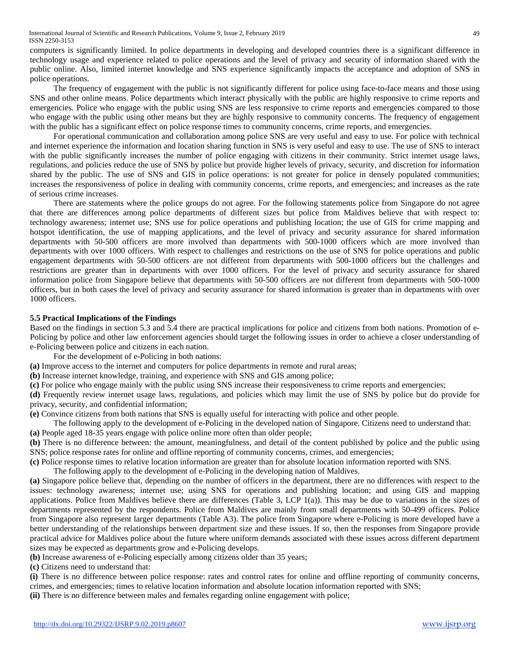computers is significantly limited. In police departments in developing and developed countries there is a significant difference in technology usage and experience related to police operations and the level of privacy and security of information shared with the public online. Also, limited internet knowledge and SNS experience significantly impacts the acceptance and adoption of SNS in police operations.

The frequency of engagement with the public is not significantly different for police using face-to-face means and those using SNS and other online means. Police departments which interact physically with the public are highly responsive to crime reports and emergencies. Police who engage with the public using SNS are less responsive to crime reports and emergencies compared to those who engage with the public using other means but they are highly responsive to community concerns. The frequency of engagement with the public has a significant effect on police response times to community concerns, crime reports, and emergencies.

For operational communication and collaboration among police SNS are very useful and easy to use. For police with technical and internet experience the information and location sharing function in SNS is very useful and easy to use. The use of SNS to interact with the public significantly increases the number of police engaging with citizens in their community. Strict internet usage laws, regulations, and policies reduce the use of SNS by police but provide higher levels of privacy, security, and discretion for information shared by the public. The use of SNS and GIS in police operations: is not greater for police in densely populated communities; increases the responsiveness of police in dealing with community concerns, crime reports, and emergencies; and increases as the rate of serious crime increases.

There are statements where the police groups do not agree. For the following statements police from Singapore do not agree that there are differences among police departments of different sizes but police from Maldives believe that with respect to: technology awareness; internet use; SNS use for police operations and publishing location; the use of GIS for crime mapping and hotspot identification, the use of mapping applications, and the level of privacy and security assurance for shared information departments with 50-500 officers are more involved than departments with 500-1000 officers which are more involved than departments with over 1000 officers. With respect to challenges and restrictions on the use of SNS for police operations and public engagement departments with 50-500 officers are not different from departments with 500-1000 officers but the challenges and restrictions are greater than in departments with over 1000 officers. For the level of privacy and security assurance for shared information police from Singapore believe that departments with 50-500 officers are not different from departments with 500-1000 officers, but in both cases the level of privacy and security assurance for shared information is greater than in departments with over 1000 officers.

#### **5.5 Practical Implications of the Findings**

Based on the findings in section 5.3 and 5.4 there are practical implications for police and citizens from both nations. Promotion of e-Policing by police and other law enforcement agencies should target the following issues in order to achieve a closer understanding of e-Policing between police and citizens in each nation.

For the development of e-Policing in both nations:

- **(a)** Improve access to the internet and computers for police departments in remote and rural areas;
- **(b)** Increase internet knowledge, training, and experience with SNS and GIS among police;
- **(c)** For police who engage mainly with the public using SNS increase their responsiveness to crime reports and emergencies;

**(d)** Frequently review internet usage laws, regulations, and policies which may limit the use of SNS by police but do provide for privacy, security, and confidential information;

**(e)** Convince citizens from both nations that SNS is equally useful for interacting with police and other people.

The following apply to the development of e-Policing in the developed nation of Singapore. Citizens need to understand that: **(a)** People aged 18-35 years engage with police online more often than older people;

**(b)** There is no difference between: the amount, meaningfulness, and detail of the content published by police and the public using SNS; police response rates for online and offline reporting of community concerns, crimes, and emergencies;

**(c)** Police response times to relative location information are greater than for absolute location information reported with SNS.

The following apply to the development of e-Policing in the developing nation of Maldives.

**(a)** Singapore police believe that, depending on the number of officers in the department, there are no differences with respect to the issues: technology awareness; internet use; using SNS for operations and publishing location; and using GIS and mapping applications. Police from Maldives believe there are differences (Table 3, LCP  $1(a)$ ). This may be due to variations in the sizes of departments represented by the respondents. Police from Maldives are mainly from small departments with 50-499 officers. Police from Singapore also represent larger departments (Table A3). The police from Singapore where e-Policing is more developed have a better understanding of the relationships between department size and these issues. If so, then the responses from Singapore provide practical advice for Maldives police about the future where uniform demands associated with these issues across different department sizes may be expected as departments grow and e-Policing develops.

**(b)** Increase awareness of e-Policing especially among citizens older than 35 years;

**(c)** Citizens need to understand that:

**(i)** There is no difference between police response: rates and control rates for online and offline reporting of community concerns, crimes, and emergencies; times to relative location information and absolute location information reported with SNS;

**(ii)** There is no difference between males and females regarding online engagement with police;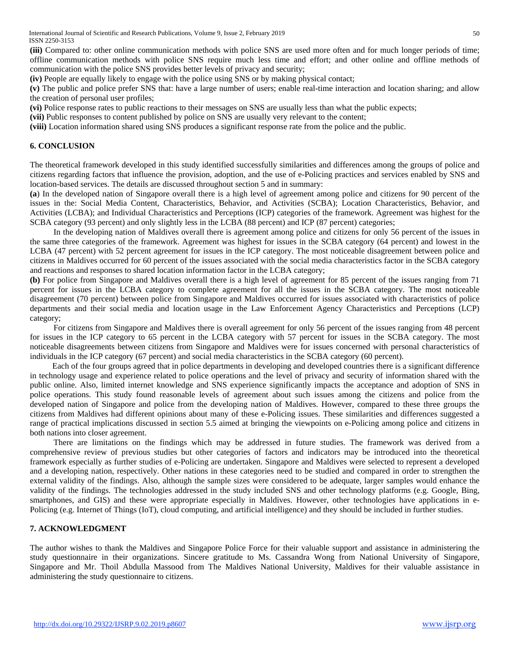**(iii)** Compared to: other online communication methods with police SNS are used more often and for much longer periods of time; offline communication methods with police SNS require much less time and effort; and other online and offline methods of communication with the police SNS provides better levels of privacy and security;

**(iv)** People are equally likely to engage with the police using SNS or by making physical contact;

**(v)** The public and police prefer SNS that: have a large number of users; enable real-time interaction and location sharing; and allow the creation of personal user profiles;

**(vi)** Police response rates to public reactions to their messages on SNS are usually less than what the public expects;

**(vii)** Public responses to content published by police on SNS are usually very relevant to the content;

**(viii)** Location information shared using SNS produces a significant response rate from the police and the public.

## **6. CONCLUSION**

The theoretical framework developed in this study identified successfully similarities and differences among the groups of police and citizens regarding factors that influence the provision, adoption, and the use of e-Policing practices and services enabled by SNS and location-based services. The details are discussed throughout section 5 and in summary:

**(a**) In the developed nation of Singapore overall there is a high level of agreement among police and citizens for 90 percent of the issues in the: Social Media Content, Characteristics, Behavior, and Activities (SCBA); Location Characteristics, Behavior, and Activities (LCBA); and Individual Characteristics and Perceptions (ICP) categories of the framework. Agreement was highest for the SCBA category (93 percent) and only slightly less in the LCBA (88 percent) and ICP (87 percent) categories;

In the developing nation of Maldives overall there is agreement among police and citizens for only 56 percent of the issues in the same three categories of the framework. Agreement was highest for issues in the SCBA category (64 percent) and lowest in the LCBA (47 percent) with 52 percent agreement for issues in the ICP category. The most noticeable disagreement between police and citizens in Maldives occurred for 60 percent of the issues associated with the social media characteristics factor in the SCBA category and reactions and responses to shared location information factor in the LCBA category;

**(b)** For police from Singapore and Maldives overall there is a high level of agreement for 85 percent of the issues ranging from 71 percent for issues in the LCBA category to complete agreement for all the issues in the SCBA category. The most noticeable disagreement (70 percent) between police from Singapore and Maldives occurred for issues associated with characteristics of police departments and their social media and location usage in the Law Enforcement Agency Characteristics and Perceptions (LCP) category;

For citizens from Singapore and Maldives there is overall agreement for only 56 percent of the issues ranging from 48 percent for issues in the ICP category to 65 percent in the LCBA category with 57 percent for issues in the SCBA category. The most noticeable disagreements between citizens from Singapore and Maldives were for issues concerned with personal characteristics of individuals in the ICP category (67 percent) and social media characteristics in the SCBA category (60 percent).

Each of the four groups agreed that in police departments in developing and developed countries there is a significant difference in technology usage and experience related to police operations and the level of privacy and security of information shared with the public online. Also, limited internet knowledge and SNS experience significantly impacts the acceptance and adoption of SNS in police operations. This study found reasonable levels of agreement about such issues among the citizens and police from the developed nation of Singapore and police from the developing nation of Maldives. However, compared to these three groups the citizens from Maldives had different opinions about many of these e-Policing issues. These similarities and differences suggested a range of practical implications discussed in section 5.5 aimed at bringing the viewpoints on e-Policing among police and citizens in both nations into closer agreement.

There are limitations on the findings which may be addressed in future studies. The framework was derived from a comprehensive review of previous studies but other categories of factors and indicators may be introduced into the theoretical framework especially as further studies of e-Policing are undertaken. Singapore and Maldives were selected to represent a developed and a developing nation, respectively. Other nations in these categories need to be studied and compared in order to strengthen the external validity of the findings. Also, although the sample sizes were considered to be adequate, larger samples would enhance the validity of the findings. The technologies addressed in the study included SNS and other technology platforms (e.g. Google, Bing, smartphones, and GIS) and these were appropriate especially in Maldives. However, other technologies have applications in e-Policing (e.g. Internet of Things (IoT), cloud computing, and artificial intelligence) and they should be included in further studies.

## **7. ACKNOWLEDGMENT**

The author wishes to thank the Maldives and Singapore Police Force for their valuable support and assistance in administering the study questionnaire in their organizations. Sincere gratitude to Ms. Cassandra Wong from National University of Singapore, Singapore and Mr. Thoil Abdulla Massood from The Maldives National University, Maldives for their valuable assistance in administering the study questionnaire to citizens.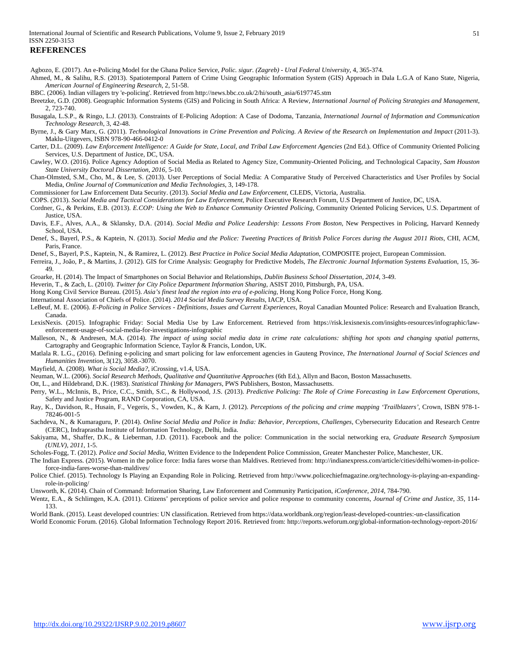## **REFERENCES**

Agbozo, E. (2017). An e-Policing Model for the Ghana Police Service, *Polic. sigur. (Zagreb) - Ural Federal University,* 4, 365-374.

Ahmed, M., & Salihu, R.S. (2013). Spatiotemporal Pattern of Crime Using Geographic Information System (GIS) Approach in Dala L.G.A of Kano State, Nigeria, *American Journal of Engineering Research*, 2, 51-58.

BBC. (2006). Indian villagers try 'e-policing'. Retrieved from http://news.bbc.co.uk/2/hi/south\_asia/6197745.stm

Breetzke, G.D. (2008). Geographic Information Systems (GIS) and Policing in South Africa: A Review, *International Journal of Policing Strategies and Management*, 2, 723-740.

Busagala, L.S.P., & Ringo, L.J. (2013). Constraints of E-Policing Adoption: A Case of Dodoma, Tanzania, *International Journal of Information and Communication Technology Research*, 3, 42-48.

Byrne, J., & Gary Marx, G. (2011). *Technological Innovations in Crime Prevention and Policing. A Review of the Research on Implementation and Impact* (2011-3). Maklu-Uitgevers, ISBN 978-90-466-0412-0

Carter, D.L. (2009). *Law Enforcement Intelligence: A Guide for State, Local, and Tribal Law Enforcement Agencies* (2nd Ed.). Office of Community Oriented Policing Services, U.S. Department of Justice, DC, USA.

Cawley, W.O. (2016). Police Agency Adoption of Social Media as Related to Agency Size, Community-Oriented Policing, and Technological Capacity, *Sam Houston State University Doctoral Dissertation, 2016*, 5-10.

Chan-Olmsted, S.M., Cho, M., & Lee, S. (2013). User Perceptions of Social Media: A Comparative Study of Perceived Characteristics and User Profiles by Social Media, *Online Journal of Communication and Media Technologies*, 3, 149-178.

Commissioner for Law Enforcement Data Security. (2013). *Social Media and Law Enforcement*, CLEDS, Victoria, Australia.

COPS. (2013). *Social Media and Tactical Considerations for Law Enforcement*, Police Executive Research Forum, U.S Department of Justice, DC, USA.

Cordner, G., & Perkins, E.B. (2013). *E.COP: Using the Web to Enhance Community Oriented Policing*, Community Oriented Policing Services, U.S. Department of Justice, USA.

Davis, E.F., Alves, A.A., & Sklansky, D.A. (2014). *Social Media and Police Leadership: Lessons From Boston*, New Perspectives in Policing, Harvard Kennedy School, USA.

Denef, S., Bayerl, P.S., & Kaptein, N. (2013). *Social Media and the Police: Tweeting Practices of British Police Forces during the August 2011 Riots*, CHI, ACM, Paris, France.

Denef, S., Bayerl, P.S., Kaptein, N., & Ramirez, L. (2012). *Best Practice in Police Social Media Adaptation*, COMPOSITE project, European Commission.

Ferreira, J., João, P., & Martins, J. (2012). GIS for Crime Analysis: Geography for Predictive Models, *The Electronic Journal Information Systems Evaluation*, 15, 36- 49.

Groarke, H. (2014). The Impact of Smartphones on Social Behavior and Relationships, *Dublin Business School Dissertation, 2014*, 3-49.

Heverin, T., & Zach, L. (2010). *Twitter for City Police Department Information Sharing*, ASIST 2010, Pittsburgh, PA, USA.

Hong Kong Civil Service Bureau. (2015). *Asia's finest lead the region into era of e-policing*, Hong Kong Police Force, Hong Kong.

International Association of Chiefs of Police. (2014). *2014 Social Media Survey Results*, IACP, USA.

LeBeuf, M. E. (2006). *E-Policing in Police Services - Definitions, Issues and Current Experiences*, Royal Canadian Mounted Police: Research and Evaluation Branch, Canada.

LexisNexis. (2015). Infographic Friday: Social Media Use by Law Enforcement. Retrieved from https://risk.lexisnexis.com/insights-resources/infographic/lawenforcement-usage-of-social-media-for-investigations-infographic

Malleson, N., & Andresen, M.A. (2014). *The impact of using social media data in crime rate calculations: shifting hot spots and changing spatial patterns*, Cartography and Geographic Information Science, Taylor & Francis, London, UK.

Matlala R. L.G., (2016). Defining e-policing and smart policing for law enforcement agencies in Gauteng Province, *The International Journal of Social Sciences and Humanities Invention*, 3(12), 3058.-3070.

Mayfield, A. (2008). *What is Social Media?*, iCrossing, v1.4, USA.

Neuman, W.L. (2006). *Social Research Methods, Qualitative and Quantitative Approaches* (6th Ed.), Allyn and Bacon, Boston Massachusetts.

Ott, L., and Hildebrand, D.K. (1983). *Statistical Thinking for Managers*, PWS Publishers, Boston, Massachusetts.

Perry, W.L., McInnis, B., Price, C.C., Smith, S.C., & Hollywood, J.S. (2013). *Predictive Policing: The Role of Crime Forecasting in Law Enforcement Operations*, Safety and Justice Program, RAND Corporation, CA, USA.

Ray, K., Davidson, R., Husain, F., Vegeris, S., Vowden, K., & Karn, J. (2012). *Perceptions of the policing and crime mapping 'Trailblazers'*, Crown, ISBN 978-1- 78246-001-5

Sachdeva, N., & Kumaraguru, P. (2014). *Online Social Media and Police in India: Behavior, Perceptions, Challenges*, Cybersecurity Education and Research Centre (CERC), Indraprastha Institute of Information Technology, Delhi, India.

Sakiyama, M., Shaffer, D.K., & Lieberman, J.D. (2011). Facebook and the police: Communication in the social networking era, *Graduate Research Symposium (UNLV), 2011*, 1-5.

Scholes-Fogg, T. (2012). *Police and Social Media*, Written Evidence to the Independent Police Commission, Greater Manchester Police, Manchester, UK.

The Indian Express. (2015). Women in the police force: India fares worse than Maldives. Retrieved from: http://indianexpress.com/article/cities/delhi/women-in-policeforce-india-fares-worse-than-maldives/

Police Chief. (2015). Technology Is Playing an Expanding Role in Policing. Retrieved from http://www.policechiefmagazine.org/technology-is-playing-an-expandingrole-in-policing/

Unsworth, K. (2014). Chain of Command: Information Sharing, Law Enforcement and Community Participation, *iConference, 2014*, 784-790.

Wentz, E.A., & Schlimgen, K.A. (2011). Citizens' perceptions of police service and police response to community concerns, *Journal of Crime and Justice, 35*, 114- 133.

World Bank. (2015). Least developed countries: UN classification. Retrieved from https://data.worldbank.org/region/least-developed-countries:-un-classification

World Economic Forum. (2016). Global Information Technology Report 2016. Retrieved from: http://reports.weforum.org/global-information-technology-report-2016/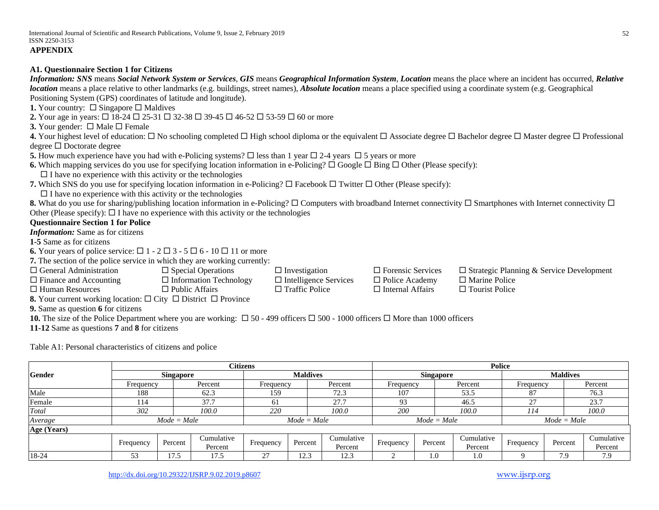#### **A1. Questionnaire Section 1 for Citizens**

*Information: SNS* means *Social Network System or Services*, *GIS* means *Geographical Information System*, *Location* means the place where an incident has occurred, *Relative location* means a place relative to other landmarks (e.g. buildings, street names), *Absolute location* means a place specified using a coordinate system (e.g. Geographical Positioning System (GPS) coordinates of latitude and longitude).

**1.** Your country:  $\Box$  Singapore  $\Box$  Maldives

**2.** Your age in years:  $\Box$  18-24  $\Box$  25-31  $\Box$  32-38  $\Box$  39-45  $\Box$  46-52  $\Box$  53-59  $\Box$  60 or more

**3.** Your gender:  $\Box$  Male  $\Box$  Female

**4.** Your highest level of education:  $\Box$  No schooling completed  $\Box$  High school diploma or the equivalent  $\Box$  Associate degree  $\Box$  Bachelor degree  $\Box$  Master degree  $\Box$  Professional  $degree \Box$  Doctorate degree

**5.** How much experience have you had with e-Policing systems?  $\Box$  less than 1 year  $\Box$  2-4 years  $\Box$  5 years or more

**6.** Which mapping services do you use for specifying location information in e-Policing?  $\Box$  Google  $\Box$  Bing  $\Box$  Other (Please specify):

 $\Box$  I have no experience with this activity or the technologies

**7.** Which SNS do you use for specifying location information in e-Policing?  $\Box$  Facebook  $\Box$  Twitter  $\Box$  Other (Please specify):

 $\square$  I have no experience with this activity or the technologies

**8.** What do you use for sharing/publishing location information in e-Policing?  $\Box$  Computers with broadband Internet connectivity  $\Box$  Smartphones with Internet connectivity  $\Box$ Other (Please specify):  $\Box$  I have no experience with this activity or the technologies

#### **Questionnaire Section 1 for Police**

*Information:* Same as for citizens

**1-5** Same as for citizens

**6.** Your years of police service:  $\Box$  1 - 2  $\Box$  3 - 5  $\Box$  6 - 10  $\Box$  11 or more

**7.** The section of the police service in which they are working currently:

 $\square$  General Administration  $\square$  Special Operation  $\square$  Investigation  $\square$  Forensic Services  $\square$  Strategic Planning & Service Development

 $\Box$  Finance and Accounting  $\Box$  Information Technology  $\Box$  Intelligence Services  $\Box$  Police Academy  $\Box$  Marine Police

 $\Box$  Human Resources  $\Box$  Public Affairs  $\Box$  Traffic Police  $\Box$  Internal Affairs  $\Box$  Tourist Police

**8.** Your current working location:  $\Box$  City  $\Box$  District  $\Box$  Province

**9.** Same as question **6** for citizens

**10.** The size of the Police Department where you are working:  $\Box$  50 - 499 officers  $\Box$  500 - 1000 officers  $\Box$  More than 1000 officers

**11-12** Same as questions **7** and **8** for citizens

Table A1: Personal characteristics of citizens and police

|               |                  |               | <b>Citizens</b> |           |                 |            | Police    |                  |            |           |                                                                                   |            |  |
|---------------|------------------|---------------|-----------------|-----------|-----------------|------------|-----------|------------------|------------|-----------|-----------------------------------------------------------------------------------|------------|--|
| <b>Gender</b> | <b>Singapore</b> |               |                 |           | <b>Maldives</b> |            |           | <b>Singapore</b> |            |           | <b>Maldives</b>                                                                   |            |  |
|               | Frequency        |               | Percent         | Frequency |                 | Percent    | Frequency |                  | Percent    |           | Percent<br>Frequency<br>76.3<br>87<br>23.7<br>27<br>100.0<br>114<br>$Mode = Male$ |            |  |
| Male          | 188              |               | 62.3            | 159       |                 | 72.3       | 107       |                  | 53.5       |           |                                                                                   |            |  |
| Female        | 114              |               | 37.7            | 61        |                 | 27.7       | 93        |                  | 46.5       |           |                                                                                   |            |  |
| Total         | 302              |               | 100.0           | 220       |                 | 100.0      | 200       |                  | 100.0      |           |                                                                                   |            |  |
| Average       |                  | $Mode = Male$ |                 |           | $Mode = Male$   |            |           | $Mode = Male$    |            |           |                                                                                   |            |  |
| Age (Years)   |                  |               |                 |           |                 |            |           |                  |            |           |                                                                                   |            |  |
|               | Frequency        | Percent       | Cumulative      | Frequency | Percent         | Cumulative | Frequency | Percent          | Cumulative |           | Percent                                                                           | Cumulative |  |
|               |                  |               | Percent         |           |                 | Percent    |           |                  | Percent    | Frequency |                                                                                   | Percent    |  |
| 18-24         | 53               | 17.5          | 17.5            | 27        | 12.3            | 12.3       |           | 1.0              | 1.0        |           | 7.9                                                                               | 7.9        |  |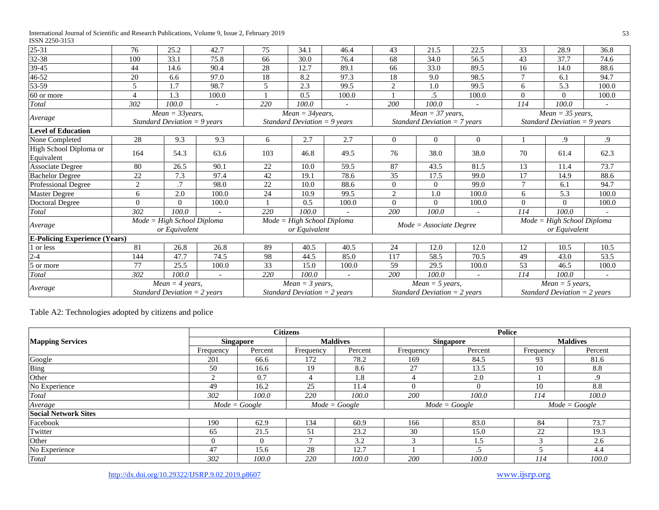| $25 - 31$                            | 76             | 25.2                                                        | 42.7   | 75             | 34.1                                                        | 46.4          | 43             | 21.5                                                         | 22.5           | 33             | 28.9                                                         | 36.8       |
|--------------------------------------|----------------|-------------------------------------------------------------|--------|----------------|-------------------------------------------------------------|---------------|----------------|--------------------------------------------------------------|----------------|----------------|--------------------------------------------------------------|------------|
| 32-38                                | 100            | 33.1                                                        | 75.8   | 66             | 30.0                                                        | 76.4          | 68             | 34.0                                                         | 56.5           | 43             | 37.7                                                         | 74.6       |
| $39 - 45$                            | 44             | 14.6                                                        | 90.4   | 28             | 12.7                                                        | 89.1          | 66             | 33.0                                                         | 89.5           | 16             | 14.0                                                         | 88.6       |
| 46-52                                | 20             | 6.6                                                         | 97.0   | 18             | 8.2                                                         | 97.3          | 18             | 9.0                                                          | 98.5           | 7              | 6.1                                                          | 94.7       |
| 53-59                                | 5              | 1.7                                                         | 98.7   | $\overline{5}$ | 2.3                                                         | 99.5          | 2              | 1.0                                                          | 99.5           | 6              | 5.3                                                          | 100.0      |
| 60 or more                           | $\overline{4}$ | 1.3                                                         | 100.0  |                | 0.5                                                         | 100.0         |                | .5                                                           | 100.0          | $\Omega$       | $\Omega$                                                     | 100.0      |
| Total                                | 302            | 100.0                                                       | $\sim$ | 220            | 100.0                                                       | $\mathcal{L}$ | 200            | 100.0                                                        |                | 114            | 100.0                                                        |            |
| Average                              |                | $Mean = 33 years,$<br>Standard Deviation = $9$ years        |        |                | $Mean = 34 years,$<br>Standard Deviation = $9$ years        |               |                | $Mean = 37 \text{ years},$<br>Standard Deviation $= 7$ years |                |                | $Mean = 35 \text{ years},$<br>Standard Deviation = $9$ years |            |
| <b>Level of Education</b>            |                |                                                             |        |                |                                                             |               |                |                                                              |                |                |                                                              |            |
| None Completed                       | 28             | 9.3                                                         | 9.3    | 6              | 2.7                                                         | 2.7           | $\overline{0}$ | $\overline{0}$                                               | $\overline{0}$ |                | .9                                                           | $\cdot$ .9 |
| High School Diploma or<br>Equivalent | 164            | 54.3                                                        | 63.6   | 103            | 46.8                                                        | 49.5          | 76             | 38.0                                                         | 38.0           | 70             | 61.4                                                         | 62.3       |
| <b>Associate Degree</b>              | 80             | 26.5                                                        | 90.1   | 22             | 10.0                                                        | 59.5          | 87             | 43.5                                                         | 81.5           | 13             | 11.4                                                         | 73.7       |
| <b>Bachelor Degree</b>               | 22             | 7.3                                                         | 97.4   | 42             | 19.1                                                        | 78.6          | 35             | 17.5                                                         | 99.0           | 17             | 14.9                                                         | 88.6       |
| Professional Degree                  | $\mathbf{2}$   | .7                                                          | 98.0   | 22             | 10.0                                                        | 88.6          | $\Omega$       | $\overline{0}$                                               | 99.0           | $\overline{7}$ | 6.1                                                          | 94.7       |
| <b>Master Degree</b>                 | 6              | 2.0                                                         | 100.0  | 24             | 10.9                                                        | 99.5          | 2              | 1.0                                                          | 100.0          | 6              | 5.3                                                          | 100.0      |
| <b>Doctoral Degree</b>               | $\Omega$       | $\theta$                                                    | 100.0  |                | 0.5                                                         | 100.0         | $\Omega$       | $\theta$                                                     | 100.0          | $\Omega$       | $\Omega$                                                     | 100.0      |
| Total                                | 302            | 100.0                                                       |        | 220            | 100.0                                                       |               | 200            | 100.0                                                        |                | 114            | 100.0                                                        |            |
| Average                              |                | $Mode = High School Diploma$<br>or Equivalent               |        |                | $Mode = High School Diploma$<br>or Equivalent               |               |                | $Mode = Associate Degree$                                    |                |                | $Mode = High School Diploma$<br>or Equivalent                |            |
| <b>E-Policing Experience (Years)</b> |                |                                                             |        |                |                                                             |               |                |                                                              |                |                |                                                              |            |
| 1 or less                            | 81             | 26.8                                                        | 26.8   | 89             | 40.5                                                        | 40.5          | 24             | 12.0                                                         | 12.0           | 12             | 10.5                                                         | 10.5       |
| $2 - 4$                              | 144            | 47.7                                                        | 74.5   | 98             | 44.5                                                        | 85.0          | 117            | 58.5                                                         | 70.5           | 49             | 43.0                                                         | 53.5       |
| 5 or more                            | 77             | 25.5                                                        | 100.0  | 33             | 15.0                                                        | 100.0         | 59             | 29.5                                                         | 100.0          | 53             | 46.5                                                         | 100.0      |
| Total                                | 302            | 100.0                                                       |        | 220            | 100.0                                                       |               | 200            | 100.0                                                        |                | 114            | 100.0                                                        |            |
| Average                              |                | $Mean = 4 \text{ years},$<br>Standard Deviation $= 2$ years |        |                | $Mean = 3 \text{ years},$<br>Standard Deviation $= 2$ years |               |                | $Mean = 5 \text{ years},$<br>Standard Deviation $= 2$ years  |                |                | $Mean = 5 \, years,$<br>Standard Deviation $=$ 2 years       |            |

Table A2: Technologies adopted by citizens and police

|                             |                  |         | <b>Citizens</b> |                 | <b>Police</b> |                  |           |                 |  |  |
|-----------------------------|------------------|---------|-----------------|-----------------|---------------|------------------|-----------|-----------------|--|--|
| <b>Mapping Services</b>     | <b>Singapore</b> |         |                 | <b>Maldives</b> |               | <b>Singapore</b> |           | <b>Maldives</b> |  |  |
|                             | Frequency        | Percent | Frequency       | Percent         | Frequency     | Percent          | Frequency | Percent         |  |  |
| Google                      | 201              | 66.6    | 172             | 78.2            | 169           | 84.5             | 93        | 81.6            |  |  |
| Bing                        | 50               | 16.6    | 19              | 8.6             | 27            | 13.5             | 10        | 8.8             |  |  |
| Other                       |                  | 0.7     |                 | 1.8             |               | 2.0              |           | .9              |  |  |
| No Experience               | 49               | 16.2    | 25              | 11.4            |               | $\Omega$         | 10        | 8.8             |  |  |
| Total                       | 302              | 100.0   | 220             | 100.0           | 200           | 100.0            | 114       | 100.0           |  |  |
| Average                     | $Mode = Google$  |         |                 | $Mode = Google$ |               | $Mode = Google$  |           | $Mode = Google$ |  |  |
| <b>Social Network Sites</b> |                  |         |                 |                 |               |                  |           |                 |  |  |
| Facebook                    | 190              | 62.9    | 134             | 60.9            | 166           | 83.0             | 84        | 73.7            |  |  |
| Twitter                     | 65               | 21.5    | 51              | 23.2            | 30            | 15.0             | 22        | 19.3            |  |  |
| Other                       | $\Omega$         |         |                 | 3.2             | ⌒             | 1.5              | ◠         | 2.6             |  |  |
| No Experience               | 47               | 15.6    | 28              | 12.7            |               | د.               |           | 4.4             |  |  |
| Total                       | 302              | 100.0   | 220             | 100.0           | 200           | 100.0            | 114       | 100.0           |  |  |